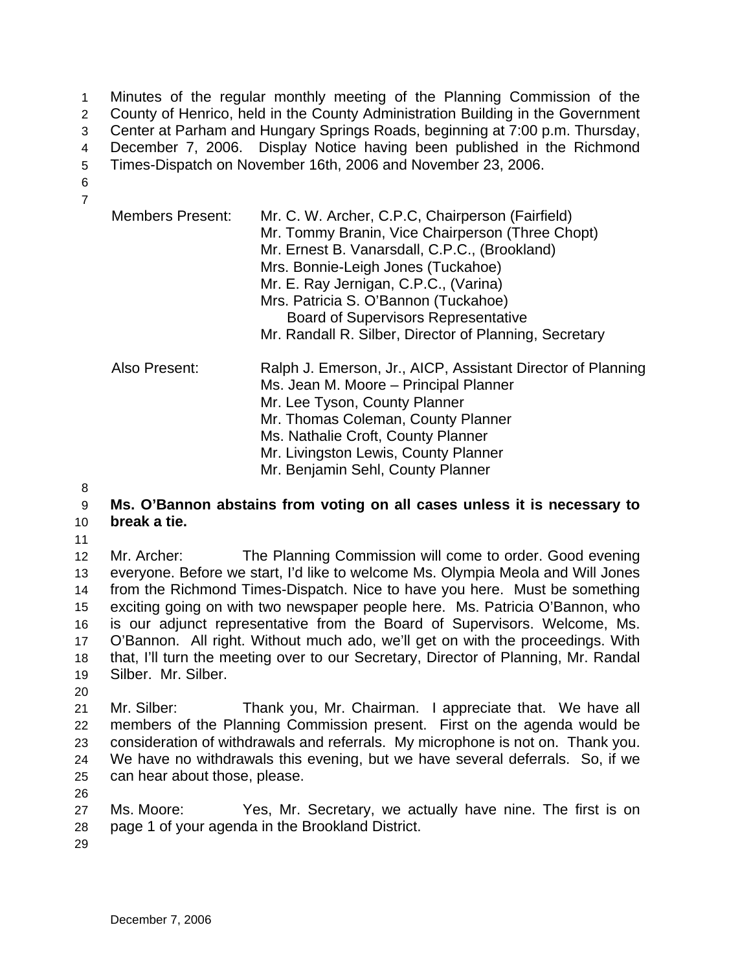Minutes of the regular monthly meeting of the Planning Commission of the County of Henrico, held in the County Administration Building in the Government Center at Parham and Hungary Springs Roads, beginning at 7:00 p.m. Thursday, December 7, 2006. Display Notice having been published in the Richmond Times-Dispatch on November 16th, 2006 and November 23, 2006. 1 2 3 4 5

6 7

| <b>Members Present:</b> | Mr. C. W. Archer, C.P.C, Chairperson (Fairfield)<br>Mr. Tommy Branin, Vice Chairperson (Three Chopt)<br>Mr. Ernest B. Vanarsdall, C.P.C., (Brookland)<br>Mrs. Bonnie-Leigh Jones (Tuckahoe)<br>Mr. E. Ray Jernigan, C.P.C., (Varina)<br>Mrs. Patricia S. O'Bannon (Tuckahoe)<br><b>Board of Supervisors Representative</b><br>Mr. Randall R. Silber, Director of Planning, Secretary |
|-------------------------|--------------------------------------------------------------------------------------------------------------------------------------------------------------------------------------------------------------------------------------------------------------------------------------------------------------------------------------------------------------------------------------|
| Also Present:           | Ralph J. Emerson, Jr., AICP, Assistant Director of Planning<br>Ms. Jean M. Moore – Principal Planner<br>Mr. Lee Tyson, County Planner<br>Mr. Thomas Coleman, County Planner<br>Ms. Nathalie Croft, County Planner<br>Mr. Livingston Lewis, County Planner<br>Mr. Benjamin Sehl, County Planner                                                                                       |

8

## 9 10 **Ms. O'Bannon abstains from voting on all cases unless it is necessary to break a tie.**

11

12 13 14 15 16 17 18 19 Mr. Archer: The Planning Commission will come to order. Good evening everyone. Before we start, I'd like to welcome Ms. Olympia Meola and Will Jones from the Richmond Times-Dispatch. Nice to have you here. Must be something exciting going on with two newspaper people here. Ms. Patricia O'Bannon, who is our adjunct representative from the Board of Supervisors. Welcome, Ms. O'Bannon. All right. Without much ado, we'll get on with the proceedings. With that, I'll turn the meeting over to our Secretary, Director of Planning, Mr. Randal Silber. Mr. Silber.

20

21 22 23 24 25 Mr. Silber: Thank you, Mr. Chairman. I appreciate that. We have all members of the Planning Commission present. First on the agenda would be consideration of withdrawals and referrals. My microphone is not on. Thank you. We have no withdrawals this evening, but we have several deferrals. So, if we can hear about those, please.

26

27 28 Ms. Moore: Yes, Mr. Secretary, we actually have nine. The first is on page 1 of your agenda in the Brookland District.

29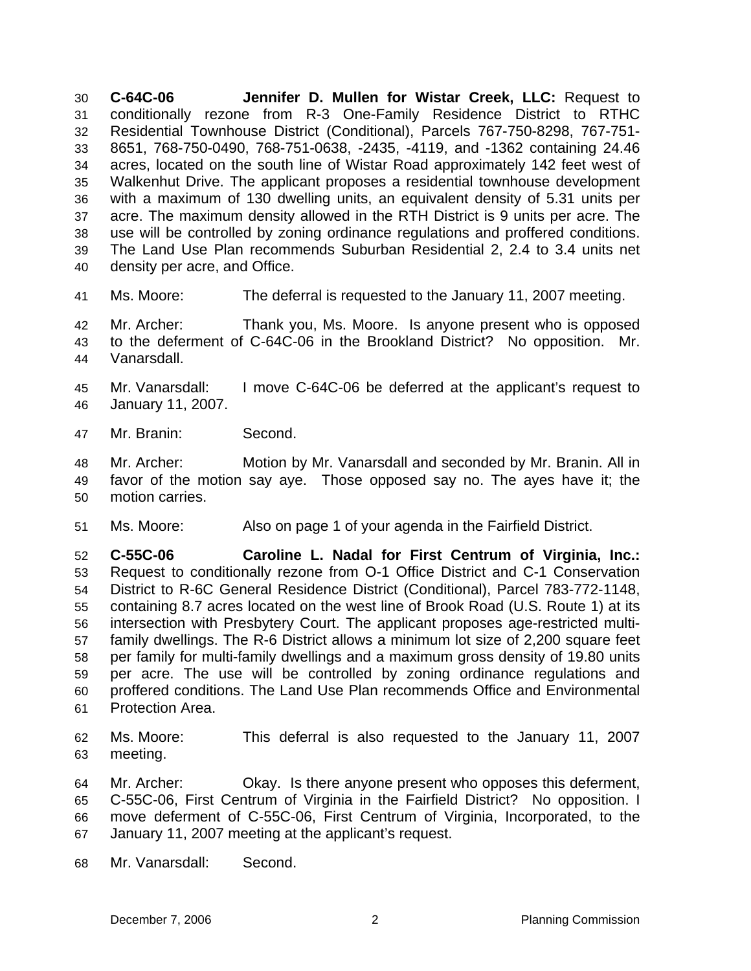**C-64C-06 Jennifer D. Mullen for Wistar Creek, LLC:** Request to conditionally rezone from R-3 One-Family Residence District to RTHC Residential Townhouse District (Conditional), Parcels 767-750-8298, 767-751- 8651, 768-750-0490, 768-751-0638, -2435, -4119, and -1362 containing 24.46 acres, located on the south line of Wistar Road approximately 142 feet west of Walkenhut Drive. The applicant proposes a residential townhouse development with a maximum of 130 dwelling units, an equivalent density of 5.31 units per acre. The maximum density allowed in the RTH District is 9 units per acre. The use will be controlled by zoning ordinance regulations and proffered conditions. The Land Use Plan recommends Suburban Residential 2, 2.4 to 3.4 units net density per acre, and Office. 30 31 32 33 34 35 36 37 38 39 40

41 Ms. Moore: The deferral is requested to the January 11, 2007 meeting.

42 43 44 Mr. Archer: Thank you, Ms. Moore. Is anyone present who is opposed to the deferment of C-64C-06 in the Brookland District? No opposition. Mr. Vanarsdall.

45 46 Mr. Vanarsdall: I move C-64C-06 be deferred at the applicant's request to January 11, 2007.

47 Mr. Branin: Second.

48 49 50 Mr. Archer: Motion by Mr. Vanarsdall and seconded by Mr. Branin. All in favor of the motion say aye. Those opposed say no. The ayes have it; the motion carries.

51 Ms. Moore: Also on page 1 of your agenda in the Fairfield District.

52 53 54 55 56 57 58 59 60 61 **C-55C-06 Caroline L. Nadal for First Centrum of Virginia, Inc.:**  Request to conditionally rezone from O-1 Office District and C-1 Conservation District to R-6C General Residence District (Conditional), Parcel 783-772-1148, containing 8.7 acres located on the west line of Brook Road (U.S. Route 1) at its intersection with Presbytery Court. The applicant proposes age-restricted multifamily dwellings. The R-6 District allows a minimum lot size of 2,200 square feet per family for multi-family dwellings and a maximum gross density of 19.80 units per acre. The use will be controlled by zoning ordinance regulations and proffered conditions. The Land Use Plan recommends Office and Environmental Protection Area.

62 63 Ms. Moore: This deferral is also requested to the January 11, 2007 meeting.

64 65 66 67 Mr. Archer: Okay. Is there anyone present who opposes this deferment, C-55C-06, First Centrum of Virginia in the Fairfield District? No opposition. I move deferment of C-55C-06, First Centrum of Virginia, Incorporated, to the January 11, 2007 meeting at the applicant's request.

68 Mr. Vanarsdall: Second.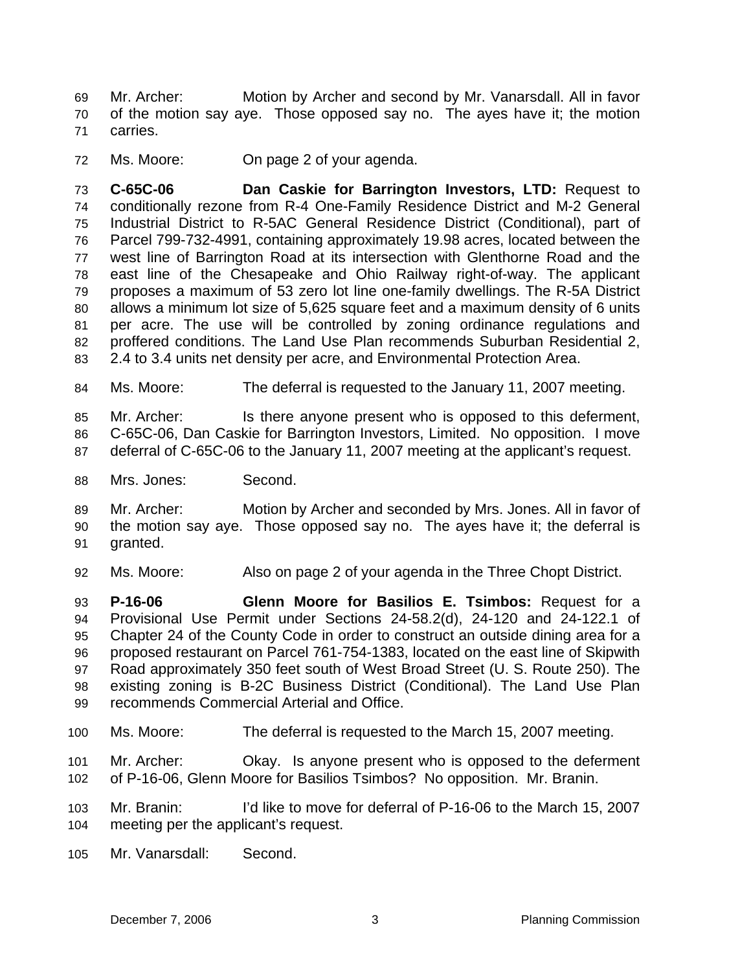Mr. Archer: Motion by Archer and second by Mr. Vanarsdall. All in favor of the motion say aye. Those opposed say no. The ayes have it; the motion carries. 69 70 71

72 Ms. Moore: On page 2 of your agenda.

73 74 75 76 77 78 79 80 81 82 83 **C-65C-06 Dan Caskie for Barrington Investors, LTD:** Request to conditionally rezone from R-4 One-Family Residence District and M-2 General Industrial District to R-5AC General Residence District (Conditional), part of Parcel 799-732-4991, containing approximately 19.98 acres, located between the west line of Barrington Road at its intersection with Glenthorne Road and the east line of the Chesapeake and Ohio Railway right-of-way. The applicant proposes a maximum of 53 zero lot line one-family dwellings. The R-5A District allows a minimum lot size of 5,625 square feet and a maximum density of 6 units per acre. The use will be controlled by zoning ordinance regulations and proffered conditions. The Land Use Plan recommends Suburban Residential 2, 2.4 to 3.4 units net density per acre, and Environmental Protection Area.

84 Ms. Moore: The deferral is requested to the January 11, 2007 meeting.

85 86 87 Mr. Archer: Is there anyone present who is opposed to this deferment, C-65C-06, Dan Caskie for Barrington Investors, Limited. No opposition. I move deferral of C-65C-06 to the January 11, 2007 meeting at the applicant's request.

88 Mrs. Jones: Second.

89 90 91 Mr. Archer: Motion by Archer and seconded by Mrs. Jones. All in favor of the motion say aye. Those opposed say no. The ayes have it; the deferral is granted.

92 Ms. Moore: Also on page 2 of your agenda in the Three Chopt District.

93 94 95 96 97 98 99 **P-16-06 Glenn Moore for Basilios E. Tsimbos:** Request for a Provisional Use Permit under Sections 24-58.2(d), 24-120 and 24-122.1 of Chapter 24 of the County Code in order to construct an outside dining area for a proposed restaurant on Parcel 761-754-1383, located on the east line of Skipwith Road approximately 350 feet south of West Broad Street (U. S. Route 250). The existing zoning is B-2C Business District (Conditional). The Land Use Plan recommends Commercial Arterial and Office.

100 Ms. Moore: The deferral is requested to the March 15, 2007 meeting.

101 102 Mr. Archer: Okay. Is anyone present who is opposed to the deferment of P-16-06, Glenn Moore for Basilios Tsimbos? No opposition. Mr. Branin.

- 103 104 Mr. Branin: I'd like to move for deferral of P-16-06 to the March 15, 2007 meeting per the applicant's request.
- 105 Mr. Vanarsdall: Second.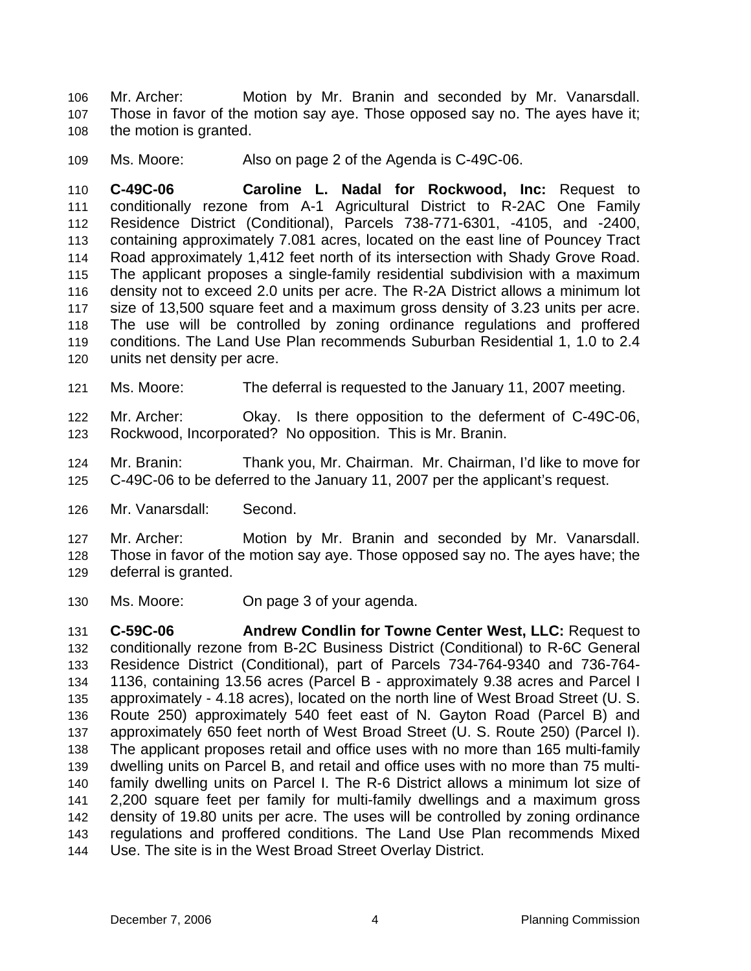Mr. Archer: Motion by Mr. Branin and seconded by Mr. Vanarsdall. Those in favor of the motion say aye. Those opposed say no. The ayes have it; the motion is granted. 106 107 108

109 Ms. Moore: Also on page 2 of the Agenda is C-49C-06.

110 111 112 113 114 115 116 117 118 119 120 **C-49C-06 Caroline L. Nadal for Rockwood, Inc:** Request to conditionally rezone from A-1 Agricultural District to R-2AC One Family Residence District (Conditional), Parcels 738-771-6301, -4105, and -2400, containing approximately 7.081 acres, located on the east line of Pouncey Tract Road approximately 1,412 feet north of its intersection with Shady Grove Road. The applicant proposes a single-family residential subdivision with a maximum density not to exceed 2.0 units per acre. The R-2A District allows a minimum lot size of 13,500 square feet and a maximum gross density of 3.23 units per acre. The use will be controlled by zoning ordinance regulations and proffered conditions. The Land Use Plan recommends Suburban Residential 1, 1.0 to 2.4 units net density per acre.

121 Ms. Moore: The deferral is requested to the January 11, 2007 meeting.

122 123 Mr. Archer: Okay. Is there opposition to the deferment of C-49C-06, Rockwood, Incorporated? No opposition. This is Mr. Branin.

124 125 Mr. Branin: Thank you, Mr. Chairman. Mr. Chairman, I'd like to move for C-49C-06 to be deferred to the January 11, 2007 per the applicant's request.

126 Mr. Vanarsdall: Second.

127 128 129 Mr. Archer: Motion by Mr. Branin and seconded by Mr. Vanarsdall. Those in favor of the motion say aye. Those opposed say no. The ayes have; the deferral is granted.

130 Ms. Moore: On page 3 of your agenda.

131 132 133 134 135 136 137 138 139 140 141 142 143 144 **C-59C-06 Andrew Condlin for Towne Center West, LLC:** Request to conditionally rezone from B-2C Business District (Conditional) to R-6C General Residence District (Conditional), part of Parcels 734-764-9340 and 736-764- 1136, containing 13.56 acres (Parcel B - approximately 9.38 acres and Parcel I approximately - 4.18 acres), located on the north line of West Broad Street (U. S. Route 250) approximately 540 feet east of N. Gayton Road (Parcel B) and approximately 650 feet north of West Broad Street (U. S. Route 250) (Parcel I). The applicant proposes retail and office uses with no more than 165 multi-family dwelling units on Parcel B, and retail and office uses with no more than 75 multifamily dwelling units on Parcel I. The R-6 District allows a minimum lot size of 2,200 square feet per family for multi-family dwellings and a maximum gross density of 19.80 units per acre. The uses will be controlled by zoning ordinance regulations and proffered conditions. The Land Use Plan recommends Mixed Use. The site is in the West Broad Street Overlay District.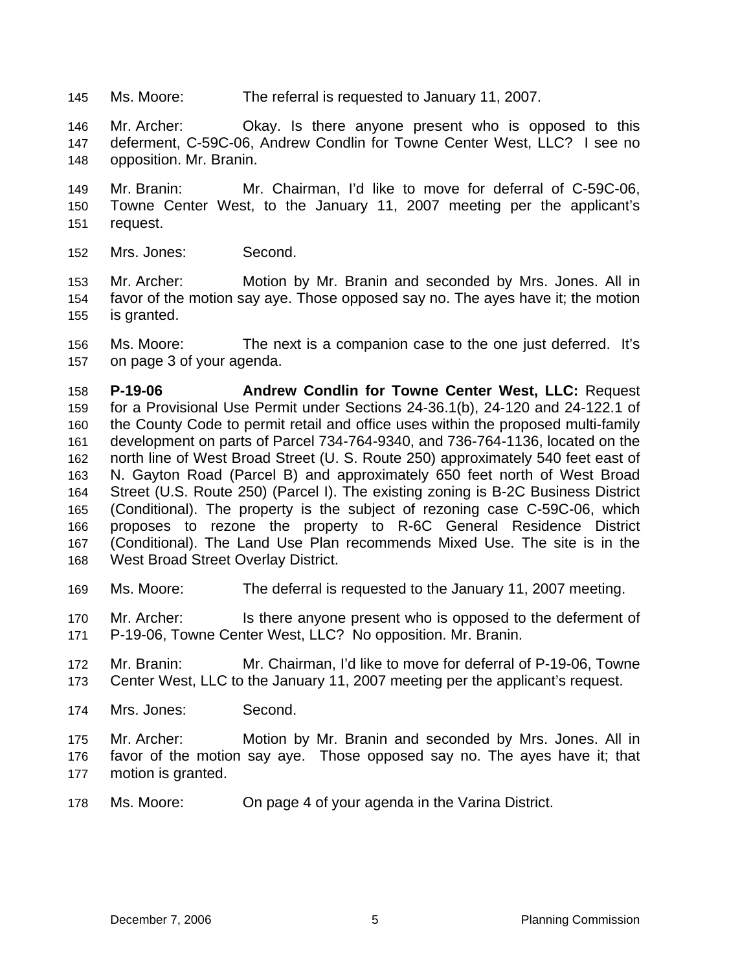145 Ms. Moore: The referral is requested to January 11, 2007.

146 147 148 Mr. Archer: Okay. Is there anyone present who is opposed to this deferment, C-59C-06, Andrew Condlin for Towne Center West, LLC? I see no opposition. Mr. Branin.

149 150 151 Mr. Branin: Mr. Chairman, I'd like to move for deferral of C-59C-06, Towne Center West, to the January 11, 2007 meeting per the applicant's request.

152 Mrs. Jones: Second.

153 154 155 Mr. Archer: Motion by Mr. Branin and seconded by Mrs. Jones. All in favor of the motion say aye. Those opposed say no. The ayes have it; the motion is granted.

156 157 Ms. Moore: The next is a companion case to the one just deferred. It's on page 3 of your agenda.

158 159 160 161 162 163 164 165 166 167 168 **P-19-06 Andrew Condlin for Towne Center West, LLC:** Request for a Provisional Use Permit under Sections 24-36.1(b), 24-120 and 24-122.1 of the County Code to permit retail and office uses within the proposed multi-family development on parts of Parcel 734-764-9340, and 736-764-1136, located on the north line of West Broad Street (U. S. Route 250) approximately 540 feet east of N. Gayton Road (Parcel B) and approximately 650 feet north of West Broad Street (U.S. Route 250) (Parcel I). The existing zoning is B-2C Business District (Conditional). The property is the subject of rezoning case C-59C-06, which proposes to rezone the property to R-6C General Residence District (Conditional). The Land Use Plan recommends Mixed Use. The site is in the West Broad Street Overlay District.

169 Ms. Moore: The deferral is requested to the January 11, 2007 meeting.

170 171 Mr. Archer: Is there anyone present who is opposed to the deferment of P-19-06, Towne Center West, LLC? No opposition. Mr. Branin.

- 172 173 Mr. Branin: Mr. Chairman, I'd like to move for deferral of P-19-06, Towne Center West, LLC to the January 11, 2007 meeting per the applicant's request.
- 174 Mrs. Jones: Second.

175 176 177 Mr. Archer: Motion by Mr. Branin and seconded by Mrs. Jones. All in favor of the motion say aye. Those opposed say no. The ayes have it; that motion is granted.

178 Ms. Moore: On page 4 of your agenda in the Varina District.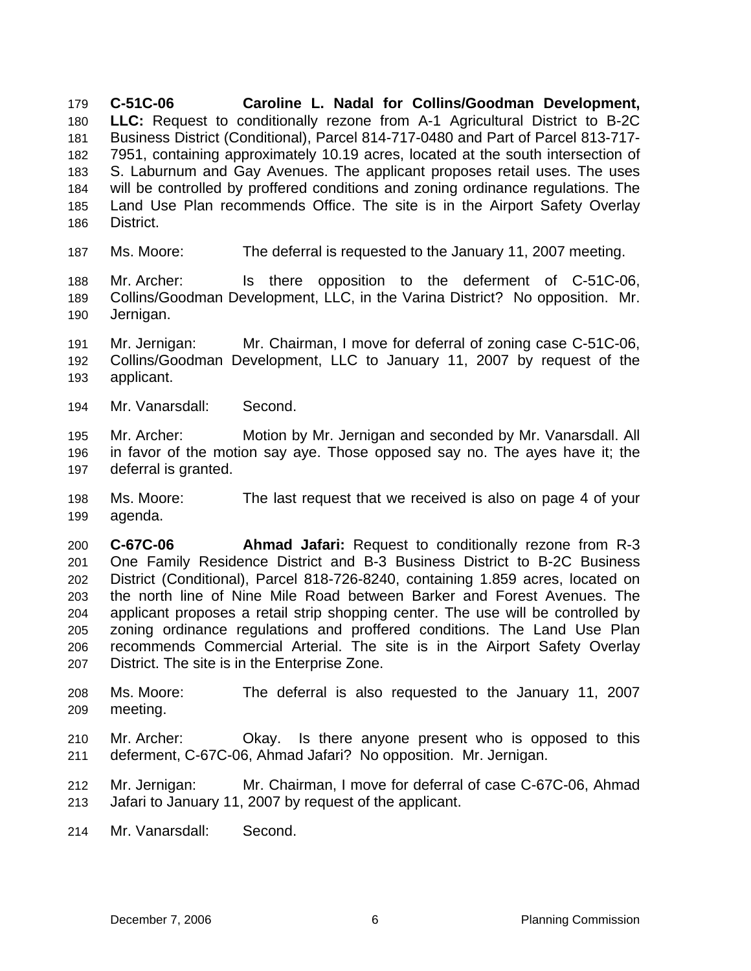**C-51C-06 Caroline L. Nadal for Collins/Goodman Development, LLC:** Request to conditionally rezone from A-1 Agricultural District to B-2C 179 180 181 182 183 184 185 186 Business District (Conditional), Parcel 814-717-0480 and Part of Parcel 813-717- 7951, containing approximately 10.19 acres, located at the south intersection of S. Laburnum and Gay Avenues. The applicant proposes retail uses. The uses will be controlled by proffered conditions and zoning ordinance regulations. The Land Use Plan recommends Office. The site is in the Airport Safety Overlay District.

187 Ms. Moore: The deferral is requested to the January 11, 2007 meeting.

188 189 190 Mr. Archer: Is there opposition to the deferment of C-51C-06, Collins/Goodman Development, LLC, in the Varina District? No opposition. Mr. Jernigan.

191 192 193 Mr. Jernigan: Mr. Chairman, I move for deferral of zoning case C-51C-06, Collins/Goodman Development, LLC to January 11, 2007 by request of the applicant.

194 Mr. Vanarsdall: Second.

195 196 197 Mr. Archer: Motion by Mr. Jernigan and seconded by Mr. Vanarsdall. All in favor of the motion say aye. Those opposed say no. The ayes have it; the deferral is granted.

198 199 Ms. Moore: The last request that we received is also on page 4 of your agenda.

200 201 202 203 204 205 206 207 **C-67C-06 Ahmad Jafari:** Request to conditionally rezone from R-3 One Family Residence District and B-3 Business District to B-2C Business District (Conditional), Parcel 818-726-8240, containing 1.859 acres, located on the north line of Nine Mile Road between Barker and Forest Avenues. The applicant proposes a retail strip shopping center. The use will be controlled by zoning ordinance regulations and proffered conditions. The Land Use Plan recommends Commercial Arterial. The site is in the Airport Safety Overlay District. The site is in the Enterprise Zone.

- 208 209 Ms. Moore: The deferral is also requested to the January 11, 2007 meeting.
- 210 211 Mr. Archer: Okay. Is there anyone present who is opposed to this deferment, C-67C-06, Ahmad Jafari? No opposition. Mr. Jernigan.
- 212 213 Mr. Jernigan: Mr. Chairman, I move for deferral of case C-67C-06, Ahmad Jafari to January 11, 2007 by request of the applicant.
- 214 Mr. Vanarsdall: Second.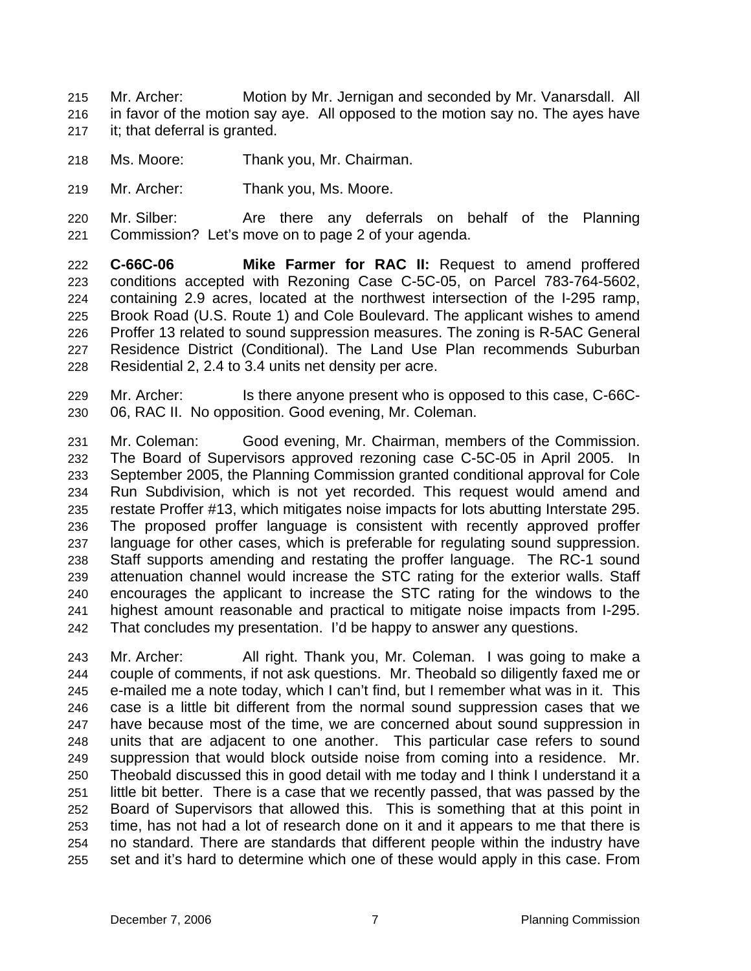- Mr. Archer: Motion by Mr. Jernigan and seconded by Mr. Vanarsdall. All in favor of the motion say aye. All opposed to the motion say no. The ayes have it; that deferral is granted. 215 216 217
- 218 Ms. Moore: Thank you, Mr. Chairman.
- 219 Mr. Archer: Thank you, Ms. Moore.
- 220 221 Mr. Silber: Are there any deferrals on behalf of the Planning Commission? Let's move on to page 2 of your agenda.
- 222 223 224 225 226 227 228 **C-66C-06 Mike Farmer for RAC II:** Request to amend proffered conditions accepted with Rezoning Case C-5C-05, on Parcel 783-764-5602, containing 2.9 acres, located at the northwest intersection of the I-295 ramp, Brook Road (U.S. Route 1) and Cole Boulevard. The applicant wishes to amend Proffer 13 related to sound suppression measures. The zoning is R-5AC General Residence District (Conditional). The Land Use Plan recommends Suburban Residential 2, 2.4 to 3.4 units net density per acre.
- 229 230 Mr. Archer: Is there anyone present who is opposed to this case, C-66C-06, RAC II. No opposition. Good evening, Mr. Coleman.

231 232 233 234 235 236 237 238 239 240 241 242 Mr. Coleman: Good evening, Mr. Chairman, members of the Commission. The Board of Supervisors approved rezoning case C-5C-05 in April 2005. In September 2005, the Planning Commission granted conditional approval for Cole Run Subdivision, which is not yet recorded. This request would amend and restate Proffer #13, which mitigates noise impacts for lots abutting Interstate 295. The proposed proffer language is consistent with recently approved proffer language for other cases, which is preferable for regulating sound suppression. Staff supports amending and restating the proffer language. The RC-1 sound attenuation channel would increase the STC rating for the exterior walls. Staff encourages the applicant to increase the STC rating for the windows to the highest amount reasonable and practical to mitigate noise impacts from I-295. That concludes my presentation. I'd be happy to answer any questions.

243 244 245 246 247 248 249 250 251 252 253 254 255 Mr. Archer: All right. Thank you, Mr. Coleman. I was going to make a couple of comments, if not ask questions. Mr. Theobald so diligently faxed me or e-mailed me a note today, which I can't find, but I remember what was in it. This case is a little bit different from the normal sound suppression cases that we have because most of the time, we are concerned about sound suppression in units that are adjacent to one another. This particular case refers to sound suppression that would block outside noise from coming into a residence. Mr. Theobald discussed this in good detail with me today and I think I understand it a little bit better. There is a case that we recently passed, that was passed by the Board of Supervisors that allowed this. This is something that at this point in time, has not had a lot of research done on it and it appears to me that there is no standard. There are standards that different people within the industry have set and it's hard to determine which one of these would apply in this case. From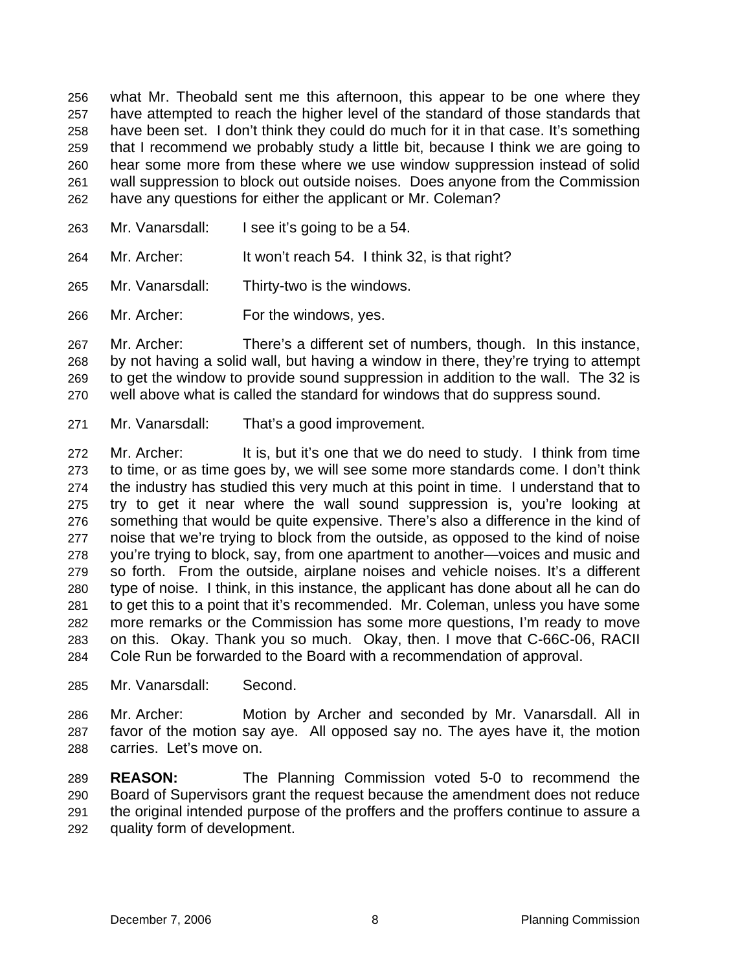what Mr. Theobald sent me this afternoon, this appear to be one where they have attempted to reach the higher level of the standard of those standards that have been set. I don't think they could do much for it in that case. It's something that I recommend we probably study a little bit, because I think we are going to hear some more from these where we use window suppression instead of solid wall suppression to block out outside noises. Does anyone from the Commission have any questions for either the applicant or Mr. Coleman? 256 257 258 259 260 261 262

- 263 Mr. Vanarsdall: I see it's going to be a 54.
- 264 Mr. Archer: It won't reach 54. I think 32, is that right?
- 265 Mr. Vanarsdall: Thirty-two is the windows.
- 266 Mr. Archer: For the windows, yes.

267 268 269 270 Mr. Archer: There's a different set of numbers, though. In this instance, by not having a solid wall, but having a window in there, they're trying to attempt to get the window to provide sound suppression in addition to the wall. The 32 is well above what is called the standard for windows that do suppress sound.

271 Mr. Vanarsdall: That's a good improvement.

272 273 274 275 276 277 278 279 280 281 282 283 284 Mr. Archer: It is, but it's one that we do need to study. I think from time to time, or as time goes by, we will see some more standards come. I don't think the industry has studied this very much at this point in time. I understand that to try to get it near where the wall sound suppression is, you're looking at something that would be quite expensive. There's also a difference in the kind of noise that we're trying to block from the outside, as opposed to the kind of noise you're trying to block, say, from one apartment to another—voices and music and so forth. From the outside, airplane noises and vehicle noises. It's a different type of noise. I think, in this instance, the applicant has done about all he can do to get this to a point that it's recommended. Mr. Coleman, unless you have some more remarks or the Commission has some more questions, I'm ready to move on this. Okay. Thank you so much. Okay, then. I move that C-66C-06, RACII Cole Run be forwarded to the Board with a recommendation of approval.

285 Mr. Vanarsdall: Second.

286 287 288 Mr. Archer: Motion by Archer and seconded by Mr. Vanarsdall. All in favor of the motion say aye. All opposed say no. The ayes have it, the motion carries. Let's move on.

289 290 291 292 **REASON:** The Planning Commission voted 5-0 to recommend the Board of Supervisors grant the request because the amendment does not reduce the original intended purpose of the proffers and the proffers continue to assure a quality form of development.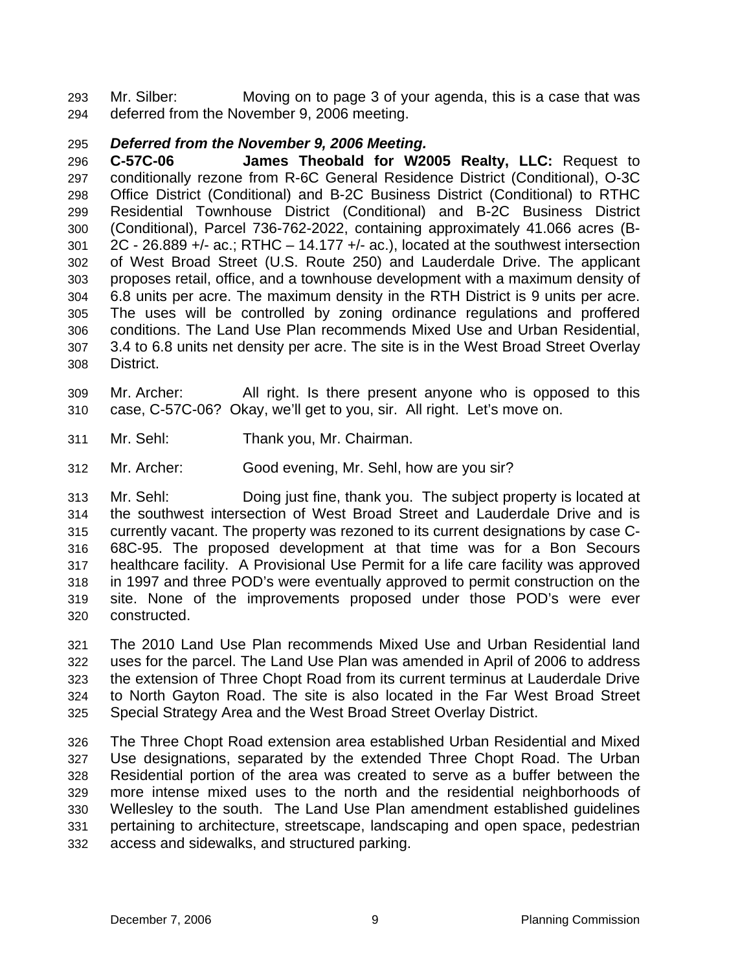Mr. Silber: Moving on to page 3 of your agenda, this is a case that was deferred from the November 9, 2006 meeting. 293 294

## 295 *Deferred from the November 9, 2006 Meeting.*

296 297 298 299 300 301 302 303 304 305 306 307 308 **C-57C-06 James Theobald for W2005 Realty, LLC:** Request to conditionally rezone from R-6C General Residence District (Conditional), O-3C Office District (Conditional) and B-2C Business District (Conditional) to RTHC Residential Townhouse District (Conditional) and B-2C Business District (Conditional), Parcel 736-762-2022, containing approximately 41.066 acres (B-2C - 26.889 +/- ac.; RTHC – 14.177 +/- ac.), located at the southwest intersection of West Broad Street (U.S. Route 250) and Lauderdale Drive. The applicant proposes retail, office, and a townhouse development with a maximum density of 6.8 units per acre. The maximum density in the RTH District is 9 units per acre. The uses will be controlled by zoning ordinance regulations and proffered conditions. The Land Use Plan recommends Mixed Use and Urban Residential, 3.4 to 6.8 units net density per acre. The site is in the West Broad Street Overlay District.

- 309 310 Mr. Archer: All right. Is there present anyone who is opposed to this case, C-57C-06? Okay, we'll get to you, sir. All right. Let's move on.
- 311 Mr. Sehl: Thank you, Mr. Chairman.
- 312 Mr. Archer: Good evening, Mr. Sehl, how are you sir?

313 314 315 316 317 318 319 320 Mr. Sehl: Doing just fine, thank you. The subject property is located at the southwest intersection of West Broad Street and Lauderdale Drive and is currently vacant. The property was rezoned to its current designations by case C-68C-95. The proposed development at that time was for a Bon Secours healthcare facility. A Provisional Use Permit for a life care facility was approved in 1997 and three POD's were eventually approved to permit construction on the site. None of the improvements proposed under those POD's were ever constructed.

321 322 323 324 325 The 2010 Land Use Plan recommends Mixed Use and Urban Residential land uses for the parcel. The Land Use Plan was amended in April of 2006 to address the extension of Three Chopt Road from its current terminus at Lauderdale Drive to North Gayton Road. The site is also located in the Far West Broad Street Special Strategy Area and the West Broad Street Overlay District.

326 327 328 329 330 331 332 The Three Chopt Road extension area established Urban Residential and Mixed Use designations, separated by the extended Three Chopt Road. The Urban Residential portion of the area was created to serve as a buffer between the more intense mixed uses to the north and the residential neighborhoods of Wellesley to the south. The Land Use Plan amendment established guidelines pertaining to architecture, streetscape, landscaping and open space, pedestrian access and sidewalks, and structured parking.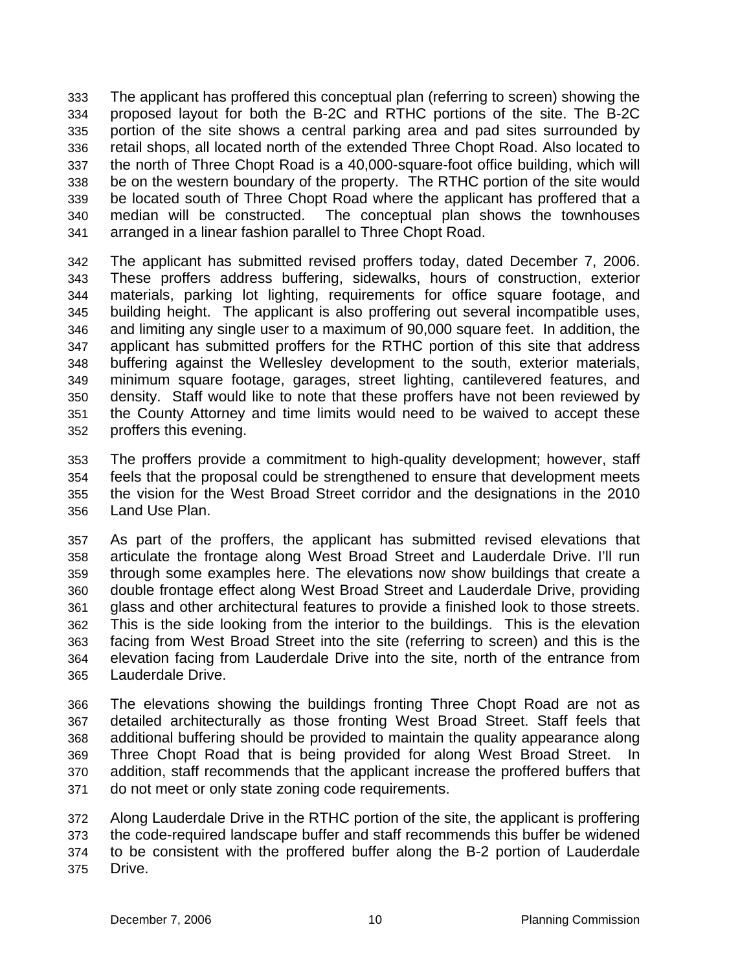The applicant has proffered this conceptual plan (referring to screen) showing the proposed layout for both the B-2C and RTHC portions of the site. The B-2C portion of the site shows a central parking area and pad sites surrounded by retail shops, all located north of the extended Three Chopt Road. Also located to the north of Three Chopt Road is a 40,000-square-foot office building, which will be on the western boundary of the property. The RTHC portion of the site would be located south of Three Chopt Road where the applicant has proffered that a median will be constructed. The conceptual plan shows the townhouses arranged in a linear fashion parallel to Three Chopt Road. 333 334 335 336 337 338 339 340 341

342 343 344 345 346 347 348 349 350 351 352 The applicant has submitted revised proffers today, dated December 7, 2006. These proffers address buffering, sidewalks, hours of construction, exterior materials, parking lot lighting, requirements for office square footage, and building height. The applicant is also proffering out several incompatible uses, and limiting any single user to a maximum of 90,000 square feet. In addition, the applicant has submitted proffers for the RTHC portion of this site that address buffering against the Wellesley development to the south, exterior materials, minimum square footage, garages, street lighting, cantilevered features, and density. Staff would like to note that these proffers have not been reviewed by the County Attorney and time limits would need to be waived to accept these proffers this evening.

353 354 355 356 The proffers provide a commitment to high-quality development; however, staff feels that the proposal could be strengthened to ensure that development meets the vision for the West Broad Street corridor and the designations in the 2010 Land Use Plan.

357 358 359 360 361 362 363 364 365 As part of the proffers, the applicant has submitted revised elevations that articulate the frontage along West Broad Street and Lauderdale Drive. I'll run through some examples here. The elevations now show buildings that create a double frontage effect along West Broad Street and Lauderdale Drive, providing glass and other architectural features to provide a finished look to those streets. This is the side looking from the interior to the buildings. This is the elevation facing from West Broad Street into the site (referring to screen) and this is the elevation facing from Lauderdale Drive into the site, north of the entrance from Lauderdale Drive.

366 367 368 369 370 371 The elevations showing the buildings fronting Three Chopt Road are not as detailed architecturally as those fronting West Broad Street. Staff feels that additional buffering should be provided to maintain the quality appearance along Three Chopt Road that is being provided for along West Broad Street. In addition, staff recommends that the applicant increase the proffered buffers that do not meet or only state zoning code requirements.

372 373 374 375 Along Lauderdale Drive in the RTHC portion of the site, the applicant is proffering the code-required landscape buffer and staff recommends this buffer be widened to be consistent with the proffered buffer along the B-2 portion of Lauderdale Drive.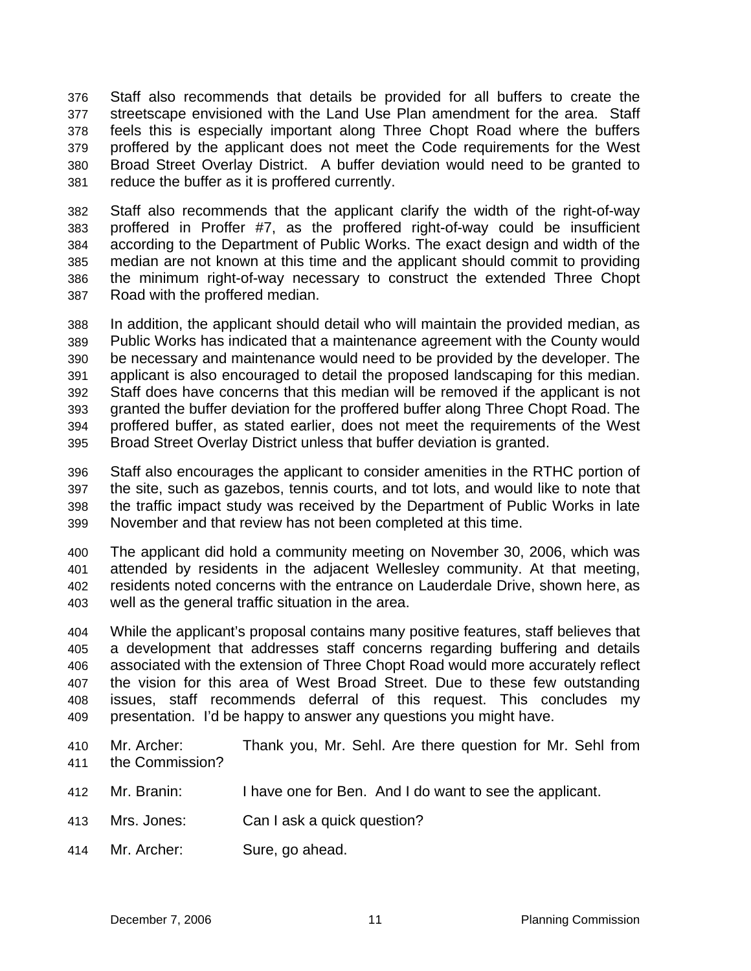Staff also recommends that details be provided for all buffers to create the streetscape envisioned with the Land Use Plan amendment for the area. Staff feels this is especially important along Three Chopt Road where the buffers proffered by the applicant does not meet the Code requirements for the West Broad Street Overlay District. A buffer deviation would need to be granted to reduce the buffer as it is proffered currently. 376 377 378 379 380 381

382 383 384 385 386 387 Staff also recommends that the applicant clarify the width of the right-of-way proffered in Proffer #7, as the proffered right-of-way could be insufficient according to the Department of Public Works. The exact design and width of the median are not known at this time and the applicant should commit to providing the minimum right-of-way necessary to construct the extended Three Chopt Road with the proffered median.

388 389 390 391 392 393 394 395 In addition, the applicant should detail who will maintain the provided median, as Public Works has indicated that a maintenance agreement with the County would be necessary and maintenance would need to be provided by the developer. The applicant is also encouraged to detail the proposed landscaping for this median. Staff does have concerns that this median will be removed if the applicant is not granted the buffer deviation for the proffered buffer along Three Chopt Road. The proffered buffer, as stated earlier, does not meet the requirements of the West Broad Street Overlay District unless that buffer deviation is granted.

396 397 398 399 Staff also encourages the applicant to consider amenities in the RTHC portion of the site, such as gazebos, tennis courts, and tot lots, and would like to note that the traffic impact study was received by the Department of Public Works in late November and that review has not been completed at this time.

400 401 402 403 The applicant did hold a community meeting on November 30, 2006, which was attended by residents in the adjacent Wellesley community. At that meeting, residents noted concerns with the entrance on Lauderdale Drive, shown here, as well as the general traffic situation in the area.

404 405 406 407 408 409 While the applicant's proposal contains many positive features, staff believes that a development that addresses staff concerns regarding buffering and details associated with the extension of Three Chopt Road would more accurately reflect the vision for this area of West Broad Street. Due to these few outstanding issues, staff recommends deferral of this request. This concludes my presentation. I'd be happy to answer any questions you might have.

- 410 411 Mr. Archer: Thank you, Mr. Sehl. Are there question for Mr. Sehl from the Commission?
- 412 Mr. Branin: I have one for Ben. And I do want to see the applicant.
- 413 Mrs. Jones: Can I ask a quick question?
- 414 Mr. Archer: Sure, go ahead.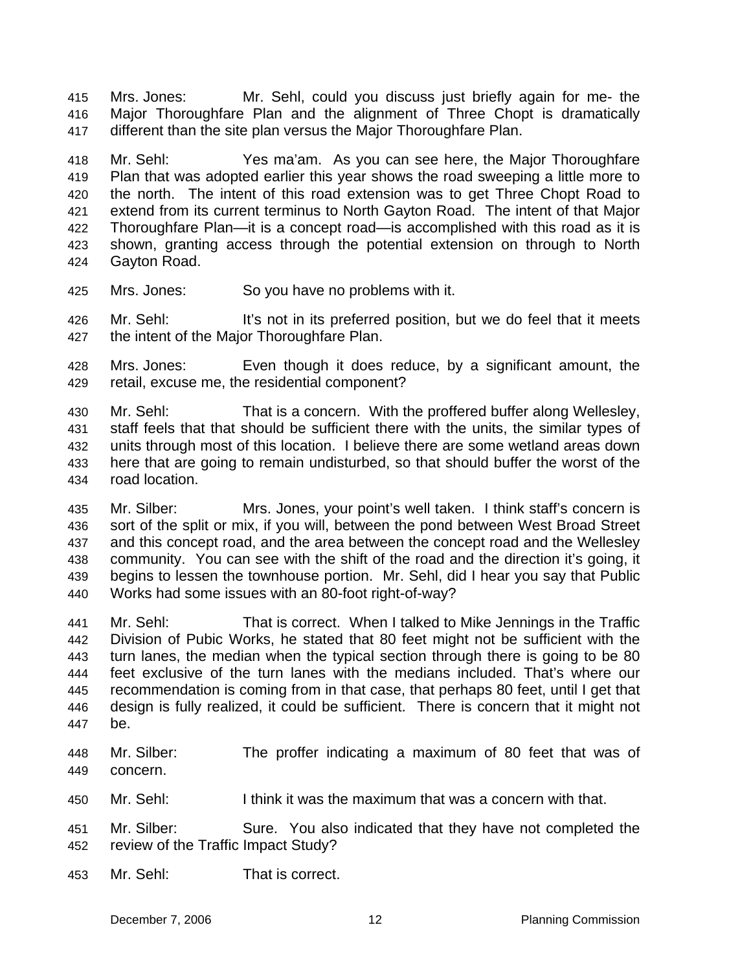Mrs. Jones: Mr. Sehl, could you discuss just briefly again for me- the Major Thoroughfare Plan and the alignment of Three Chopt is dramatically different than the site plan versus the Major Thoroughfare Plan. 415 416 417

418 419 420 421 422 423 424 Mr. Sehl: Yes ma'am. As you can see here, the Major Thoroughfare Plan that was adopted earlier this year shows the road sweeping a little more to the north. The intent of this road extension was to get Three Chopt Road to extend from its current terminus to North Gayton Road. The intent of that Major Thoroughfare Plan—it is a concept road—is accomplished with this road as it is shown, granting access through the potential extension on through to North Gayton Road.

- 425 Mrs. Jones: So you have no problems with it.
- 426 427 Mr. Sehl: It's not in its preferred position, but we do feel that it meets the intent of the Major Thoroughfare Plan.
- 428 429 Mrs. Jones: Even though it does reduce, by a significant amount, the retail, excuse me, the residential component?
- 430 431 432 433 434 Mr. Sehl: That is a concern. With the proffered buffer along Wellesley, staff feels that that should be sufficient there with the units, the similar types of units through most of this location. I believe there are some wetland areas down here that are going to remain undisturbed, so that should buffer the worst of the road location.
- 435 436 437 438 439 440 Mr. Silber: Mrs. Jones, your point's well taken. I think staff's concern is sort of the split or mix, if you will, between the pond between West Broad Street and this concept road, and the area between the concept road and the Wellesley community. You can see with the shift of the road and the direction it's going, it begins to lessen the townhouse portion. Mr. Sehl, did I hear you say that Public Works had some issues with an 80-foot right-of-way?
- 441 442 443 444 445 446 447 Mr. Sehl: That is correct. When I talked to Mike Jennings in the Traffic Division of Pubic Works, he stated that 80 feet might not be sufficient with the turn lanes, the median when the typical section through there is going to be 80 feet exclusive of the turn lanes with the medians included. That's where our recommendation is coming from in that case, that perhaps 80 feet, until I get that design is fully realized, it could be sufficient. There is concern that it might not be.
- 448 449 Mr. Silber: The proffer indicating a maximum of 80 feet that was of concern.
- 450 Mr. Sehl: I think it was the maximum that was a concern with that.
- 451 452 Mr. Silber: Sure. You also indicated that they have not completed the review of the Traffic Impact Study?
- 453 Mr. Sehl: That is correct.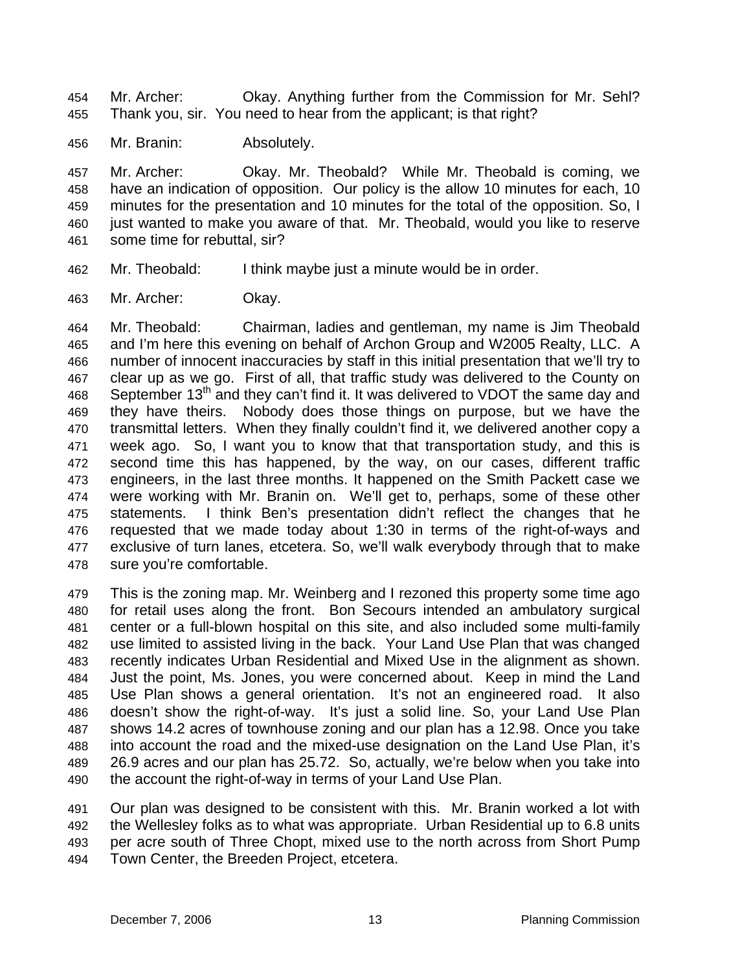Mr. Archer: Okay. Anything further from the Commission for Mr. Sehl? Thank you, sir. You need to hear from the applicant; is that right? 454 455

456 Mr. Branin: Absolutely.

457 458 459 460 461 Mr. Archer: Okay. Mr. Theobald? While Mr. Theobald is coming, we have an indication of opposition. Our policy is the allow 10 minutes for each, 10 minutes for the presentation and 10 minutes for the total of the opposition. So, I just wanted to make you aware of that. Mr. Theobald, would you like to reserve some time for rebuttal, sir?

- 462 Mr. Theobald: I think maybe just a minute would be in order.
- 463 Mr. Archer: Okay.

464 465 466 467 468 469 470 471 472 473 474 475 476 477 478 Mr. Theobald: Chairman, ladies and gentleman, my name is Jim Theobald and I'm here this evening on behalf of Archon Group and W2005 Realty, LLC. A number of innocent inaccuracies by staff in this initial presentation that we'll try to clear up as we go. First of all, that traffic study was delivered to the County on September  $13<sup>th</sup>$  and they can't find it. It was delivered to VDOT the same day and they have theirs. Nobody does those things on purpose, but we have the transmittal letters. When they finally couldn't find it, we delivered another copy a week ago. So, I want you to know that that transportation study, and this is second time this has happened, by the way, on our cases, different traffic engineers, in the last three months. It happened on the Smith Packett case we were working with Mr. Branin on. We'll get to, perhaps, some of these other statements. I think Ben's presentation didn't reflect the changes that he requested that we made today about 1:30 in terms of the right-of-ways and exclusive of turn lanes, etcetera. So, we'll walk everybody through that to make sure you're comfortable.

479 480 481 482 483 484 485 486 487 488 489 490 This is the zoning map. Mr. Weinberg and I rezoned this property some time ago for retail uses along the front. Bon Secours intended an ambulatory surgical center or a full-blown hospital on this site, and also included some multi-family use limited to assisted living in the back. Your Land Use Plan that was changed recently indicates Urban Residential and Mixed Use in the alignment as shown. Just the point, Ms. Jones, you were concerned about. Keep in mind the Land Use Plan shows a general orientation. It's not an engineered road. It also doesn't show the right-of-way. It's just a solid line. So, your Land Use Plan shows 14.2 acres of townhouse zoning and our plan has a 12.98. Once you take into account the road and the mixed-use designation on the Land Use Plan, it's 26.9 acres and our plan has 25.72. So, actually, we're below when you take into the account the right-of-way in terms of your Land Use Plan.

491 492 493 494 Our plan was designed to be consistent with this. Mr. Branin worked a lot with the Wellesley folks as to what was appropriate. Urban Residential up to 6.8 units per acre south of Three Chopt, mixed use to the north across from Short Pump Town Center, the Breeden Project, etcetera.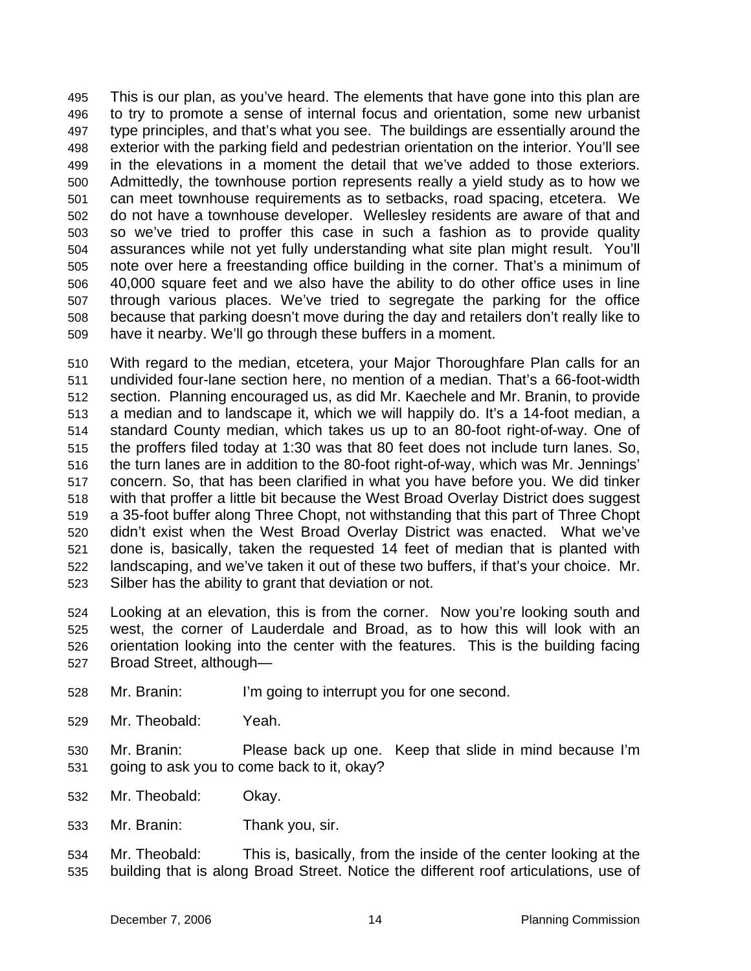This is our plan, as you've heard. The elements that have gone into this plan are to try to promote a sense of internal focus and orientation, some new urbanist type principles, and that's what you see. The buildings are essentially around the exterior with the parking field and pedestrian orientation on the interior. You'll see in the elevations in a moment the detail that we've added to those exteriors. Admittedly, the townhouse portion represents really a yield study as to how we can meet townhouse requirements as to setbacks, road spacing, etcetera. We do not have a townhouse developer. Wellesley residents are aware of that and so we've tried to proffer this case in such a fashion as to provide quality assurances while not yet fully understanding what site plan might result. You'll note over here a freestanding office building in the corner. That's a minimum of 40,000 square feet and we also have the ability to do other office uses in line through various places. We've tried to segregate the parking for the office because that parking doesn't move during the day and retailers don't really like to have it nearby. We'll go through these buffers in a moment. 495 496 497 498 499 500 501 502 503 504 505 506 507 508 509

510 511 512 513 514 515 516 517 518 519 520 521 522 523 With regard to the median, etcetera, your Major Thoroughfare Plan calls for an undivided four-lane section here, no mention of a median. That's a 66-foot-width section. Planning encouraged us, as did Mr. Kaechele and Mr. Branin, to provide a median and to landscape it, which we will happily do. It's a 14-foot median, a standard County median, which takes us up to an 80-foot right-of-way. One of the proffers filed today at 1:30 was that 80 feet does not include turn lanes. So, the turn lanes are in addition to the 80-foot right-of-way, which was Mr. Jennings' concern. So, that has been clarified in what you have before you. We did tinker with that proffer a little bit because the West Broad Overlay District does suggest a 35-foot buffer along Three Chopt, not withstanding that this part of Three Chopt didn't exist when the West Broad Overlay District was enacted. What we've done is, basically, taken the requested 14 feet of median that is planted with landscaping, and we've taken it out of these two buffers, if that's your choice. Mr. Silber has the ability to grant that deviation or not.

524 525 526 527 Looking at an elevation, this is from the corner. Now you're looking south and west, the corner of Lauderdale and Broad, as to how this will look with an orientation looking into the center with the features. This is the building facing Broad Street, although—

- 528 Mr. Branin: I'm going to interrupt you for one second.
- 529 Mr. Theobald: Yeah.
- 530 531 Mr. Branin: Please back up one. Keep that slide in mind because I'm going to ask you to come back to it, okay?
- 532 Mr. Theobald: Okay.
- 533 Mr. Branin: Thank you, sir.
- 534 535 Mr. Theobald: This is, basically, from the inside of the center looking at the building that is along Broad Street. Notice the different roof articulations, use of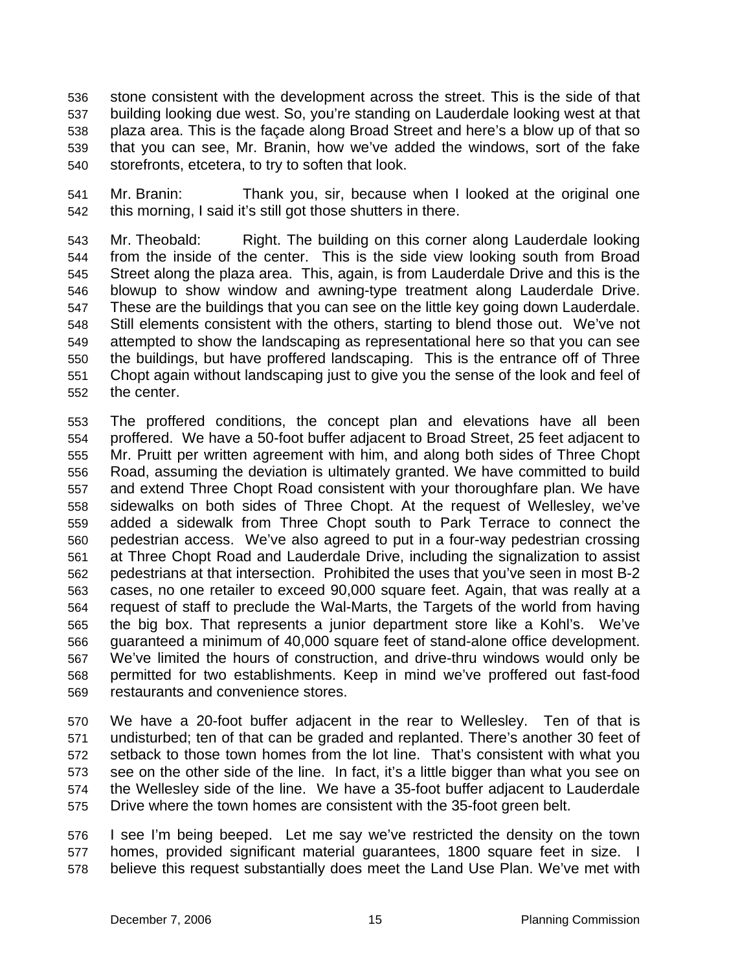stone consistent with the development across the street. This is the side of that building looking due west. So, you're standing on Lauderdale looking west at that plaza area. This is the façade along Broad Street and here's a blow up of that so that you can see, Mr. Branin, how we've added the windows, sort of the fake storefronts, etcetera, to try to soften that look. 536 537 538 539 540

541 542 Mr. Branin: Thank you, sir, because when I looked at the original one this morning, I said it's still got those shutters in there.

543 544 545 546 547 548 549 550 551 552 Mr. Theobald: Right. The building on this corner along Lauderdale looking from the inside of the center. This is the side view looking south from Broad Street along the plaza area. This, again, is from Lauderdale Drive and this is the blowup to show window and awning-type treatment along Lauderdale Drive. These are the buildings that you can see on the little key going down Lauderdale. Still elements consistent with the others, starting to blend those out. We've not attempted to show the landscaping as representational here so that you can see the buildings, but have proffered landscaping. This is the entrance off of Three Chopt again without landscaping just to give you the sense of the look and feel of the center.

553 554 555 556 557 558 559 560 561 562 563 564 565 566 567 568 569 The proffered conditions, the concept plan and elevations have all been proffered. We have a 50-foot buffer adjacent to Broad Street, 25 feet adjacent to Mr. Pruitt per written agreement with him, and along both sides of Three Chopt Road, assuming the deviation is ultimately granted. We have committed to build and extend Three Chopt Road consistent with your thoroughfare plan. We have sidewalks on both sides of Three Chopt. At the request of Wellesley, we've added a sidewalk from Three Chopt south to Park Terrace to connect the pedestrian access. We've also agreed to put in a four-way pedestrian crossing at Three Chopt Road and Lauderdale Drive, including the signalization to assist pedestrians at that intersection. Prohibited the uses that you've seen in most B-2 cases, no one retailer to exceed 90,000 square feet. Again, that was really at a request of staff to preclude the Wal-Marts, the Targets of the world from having the big box. That represents a junior department store like a Kohl's. We've guaranteed a minimum of 40,000 square feet of stand-alone office development. We've limited the hours of construction, and drive-thru windows would only be permitted for two establishments. Keep in mind we've proffered out fast-food restaurants and convenience stores.

570 571 572 573 574 575 We have a 20-foot buffer adjacent in the rear to Wellesley. Ten of that is undisturbed; ten of that can be graded and replanted. There's another 30 feet of setback to those town homes from the lot line. That's consistent with what you see on the other side of the line. In fact, it's a little bigger than what you see on the Wellesley side of the line. We have a 35-foot buffer adjacent to Lauderdale Drive where the town homes are consistent with the 35-foot green belt.

576 577 578 I see I'm being beeped. Let me say we've restricted the density on the town homes, provided significant material guarantees, 1800 square feet in size. I believe this request substantially does meet the Land Use Plan. We've met with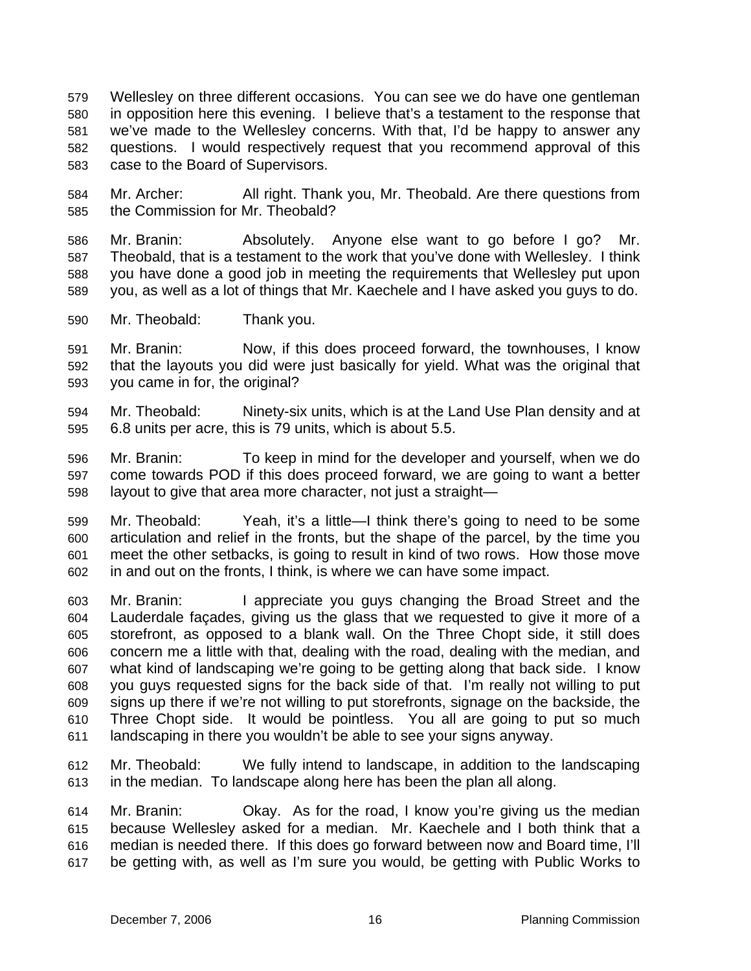Wellesley on three different occasions. You can see we do have one gentleman in opposition here this evening. I believe that's a testament to the response that we've made to the Wellesley concerns. With that, I'd be happy to answer any questions. I would respectively request that you recommend approval of this case to the Board of Supervisors. 579 580 581 582 583

584 585 Mr. Archer: All right. Thank you, Mr. Theobald. Are there questions from the Commission for Mr. Theobald?

586 587 588 589 Mr. Branin: Absolutely. Anyone else want to go before I go? Mr. Theobald, that is a testament to the work that you've done with Wellesley. I think you have done a good job in meeting the requirements that Wellesley put upon you, as well as a lot of things that Mr. Kaechele and I have asked you guys to do.

590 Mr. Theobald: Thank you.

591 592 593 Mr. Branin: Now, if this does proceed forward, the townhouses, I know that the layouts you did were just basically for yield. What was the original that you came in for, the original?

- 594 595 Mr. Theobald: Ninety-six units, which is at the Land Use Plan density and at 6.8 units per acre, this is 79 units, which is about 5.5.
- 596 597 598 Mr. Branin: To keep in mind for the developer and yourself, when we do come towards POD if this does proceed forward, we are going to want a better layout to give that area more character, not just a straight—

599 600 601 602 Mr. Theobald: Yeah, it's a little—I think there's going to need to be some articulation and relief in the fronts, but the shape of the parcel, by the time you meet the other setbacks, is going to result in kind of two rows. How those move in and out on the fronts, I think, is where we can have some impact.

603 604 605 606 607 608 609 610 611 Mr. Branin: I appreciate you guys changing the Broad Street and the Lauderdale façades, giving us the glass that we requested to give it more of a storefront, as opposed to a blank wall. On the Three Chopt side, it still does concern me a little with that, dealing with the road, dealing with the median, and what kind of landscaping we're going to be getting along that back side. I know you guys requested signs for the back side of that. I'm really not willing to put signs up there if we're not willing to put storefronts, signage on the backside, the Three Chopt side. It would be pointless. You all are going to put so much landscaping in there you wouldn't be able to see your signs anyway.

612 613 Mr. Theobald: We fully intend to landscape, in addition to the landscaping in the median. To landscape along here has been the plan all along.

614 615 616 617 Mr. Branin: Okay. As for the road, I know you're giving us the median because Wellesley asked for a median. Mr. Kaechele and I both think that a median is needed there. If this does go forward between now and Board time, I'll be getting with, as well as I'm sure you would, be getting with Public Works to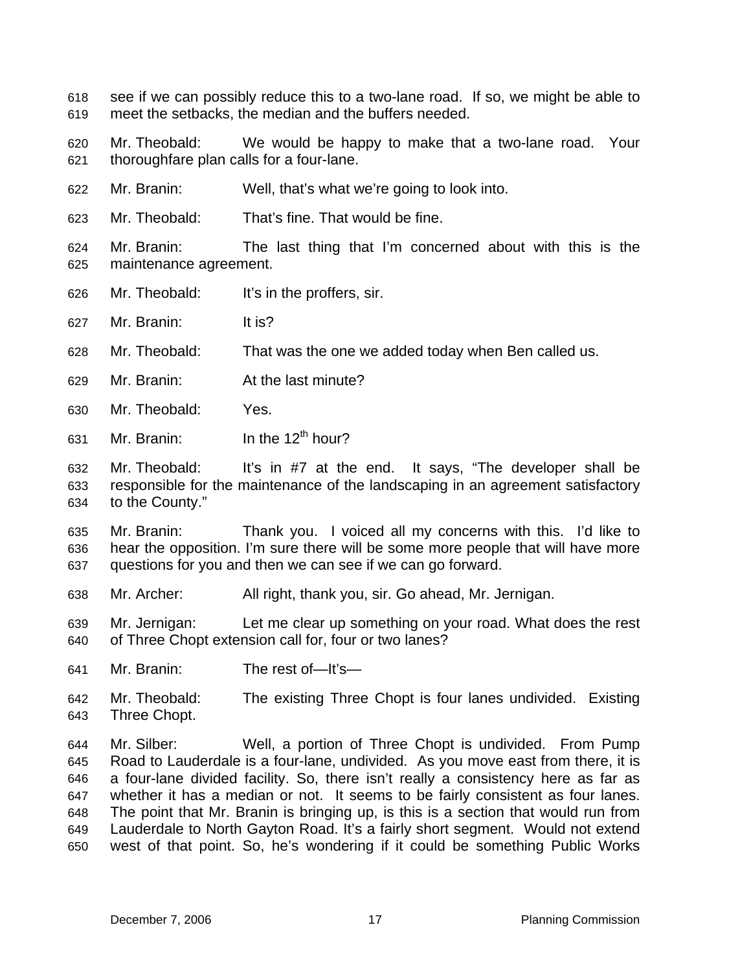see if we can possibly reduce this to a two-lane road. If so, we might be able to meet the setbacks, the median and the buffers needed. 618 619

620 621 Mr. Theobald: We would be happy to make that a two-lane road. Your thoroughfare plan calls for a four-lane.

- 622 Mr. Branin: Well, that's what we're going to look into.
- 623 Mr. Theobald: That's fine. That would be fine.

624 625 Mr. Branin: The last thing that I'm concerned about with this is the maintenance agreement.

- 626 Mr. Theobald: It's in the proffers, sir.
- 627 Mr. Branin: It is?
- 628 Mr. Theobald: That was the one we added today when Ben called us.
- 629 Mr. Branin: At the last minute?
- 630 Mr. Theobald: Yes.
- 631 Mr. Branin:  $\ln$  the 12<sup>th</sup> hour?

632 633 634 Mr. Theobald: It's in #7 at the end. It says, "The developer shall be responsible for the maintenance of the landscaping in an agreement satisfactory to the County."

635 636 637 Mr. Branin: Thank you. I voiced all my concerns with this. I'd like to hear the opposition. I'm sure there will be some more people that will have more questions for you and then we can see if we can go forward.

638 Mr. Archer: All right, thank you, sir. Go ahead, Mr. Jernigan.

639 640 Mr. Jernigan: Let me clear up something on your road. What does the rest of Three Chopt extension call for, four or two lanes?

- 641 Mr. Branin: The rest of—It's—
- 642 643 Mr. Theobald: The existing Three Chopt is four lanes undivided. Existing Three Chopt.

644 645 646 647 648 649 650 Mr. Silber: Well, a portion of Three Chopt is undivided. From Pump Road to Lauderdale is a four-lane, undivided. As you move east from there, it is a four-lane divided facility. So, there isn't really a consistency here as far as whether it has a median or not. It seems to be fairly consistent as four lanes. The point that Mr. Branin is bringing up, is this is a section that would run from Lauderdale to North Gayton Road. It's a fairly short segment. Would not extend west of that point. So, he's wondering if it could be something Public Works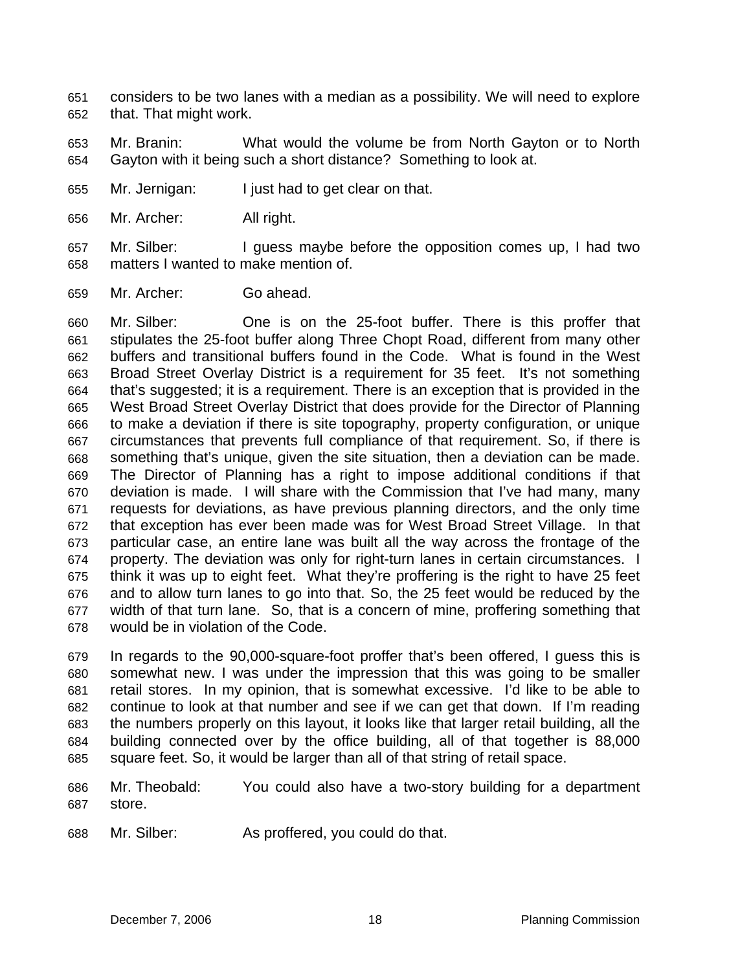- considers to be two lanes with a median as a possibility. We will need to explore that. That might work. 651 652
- 653 654 Mr. Branin: What would the volume be from North Gayton or to North Gayton with it being such a short distance? Something to look at.
- 655 Mr. Jernigan: I just had to get clear on that.
- 656 Mr. Archer: All right.
- 657 658 Mr. Silber: I guess maybe before the opposition comes up, I had two matters I wanted to make mention of.
- 659 Mr. Archer: Go ahead.

660 661 662 663 664 665 666 667 668 669 670 671 672 673 674 675 676 677 678 Mr. Silber: One is on the 25-foot buffer. There is this proffer that stipulates the 25-foot buffer along Three Chopt Road, different from many other buffers and transitional buffers found in the Code. What is found in the West Broad Street Overlay District is a requirement for 35 feet. It's not something that's suggested; it is a requirement. There is an exception that is provided in the West Broad Street Overlay District that does provide for the Director of Planning to make a deviation if there is site topography, property configuration, or unique circumstances that prevents full compliance of that requirement. So, if there is something that's unique, given the site situation, then a deviation can be made. The Director of Planning has a right to impose additional conditions if that deviation is made. I will share with the Commission that I've had many, many requests for deviations, as have previous planning directors, and the only time that exception has ever been made was for West Broad Street Village. In that particular case, an entire lane was built all the way across the frontage of the property. The deviation was only for right-turn lanes in certain circumstances. I think it was up to eight feet. What they're proffering is the right to have 25 feet and to allow turn lanes to go into that. So, the 25 feet would be reduced by the width of that turn lane. So, that is a concern of mine, proffering something that would be in violation of the Code.

679 680 681 682 683 684 685 In regards to the 90,000-square-foot proffer that's been offered, I guess this is somewhat new. I was under the impression that this was going to be smaller retail stores. In my opinion, that is somewhat excessive. I'd like to be able to continue to look at that number and see if we can get that down. If I'm reading the numbers properly on this layout, it looks like that larger retail building, all the building connected over by the office building, all of that together is 88,000 square feet. So, it would be larger than all of that string of retail space.

- 686 687 Mr. Theobald: You could also have a two-story building for a department store.
- 688 Mr. Silber: As proffered, you could do that.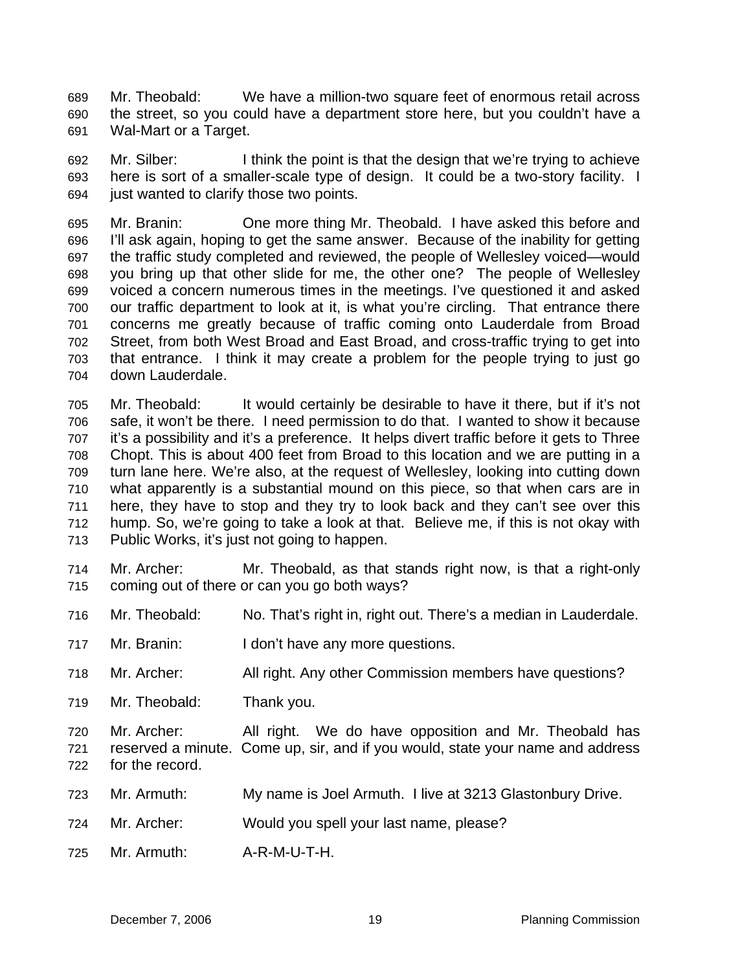Mr. Theobald: We have a million-two square feet of enormous retail across the street, so you could have a department store here, but you couldn't have a Wal-Mart or a Target. 689 690 691

692 693 694 Mr. Silber: I think the point is that the design that we're trying to achieve here is sort of a smaller-scale type of design. It could be a two-story facility. I just wanted to clarify those two points.

695 696 697 698 699 700 701 702 703 704 Mr. Branin: One more thing Mr. Theobald. I have asked this before and I'll ask again, hoping to get the same answer. Because of the inability for getting the traffic study completed and reviewed, the people of Wellesley voiced—would you bring up that other slide for me, the other one? The people of Wellesley voiced a concern numerous times in the meetings. I've questioned it and asked our traffic department to look at it, is what you're circling. That entrance there concerns me greatly because of traffic coming onto Lauderdale from Broad Street, from both West Broad and East Broad, and cross-traffic trying to get into that entrance. I think it may create a problem for the people trying to just go down Lauderdale.

705 706 707 708 709 710 711 712 713 Mr. Theobald: It would certainly be desirable to have it there, but if it's not safe, it won't be there. I need permission to do that. I wanted to show it because it's a possibility and it's a preference. It helps divert traffic before it gets to Three Chopt. This is about 400 feet from Broad to this location and we are putting in a turn lane here. We're also, at the request of Wellesley, looking into cutting down what apparently is a substantial mound on this piece, so that when cars are in here, they have to stop and they try to look back and they can't see over this hump. So, we're going to take a look at that. Believe me, if this is not okay with Public Works, it's just not going to happen.

714 715 Mr. Archer: Mr. Theobald, as that stands right now, is that a right-only coming out of there or can you go both ways?

- 716 Mr. Theobald: No. That's right in, right out. There's a median in Lauderdale.
- 717 Mr. Branin: I don't have any more questions.
- 718 Mr. Archer: All right. Any other Commission members have questions?
- 719 Mr. Theobald: Thank you.

720 721 722 Mr. Archer: All right. We do have opposition and Mr. Theobald has reserved a minute. Come up, sir, and if you would, state your name and address for the record.

- 723 Mr. Armuth: My name is Joel Armuth. I live at 3213 Glastonbury Drive.
- 724 Mr. Archer: Would you spell your last name, please?
- 725 Mr. Armuth: A-R-M-U-T-H.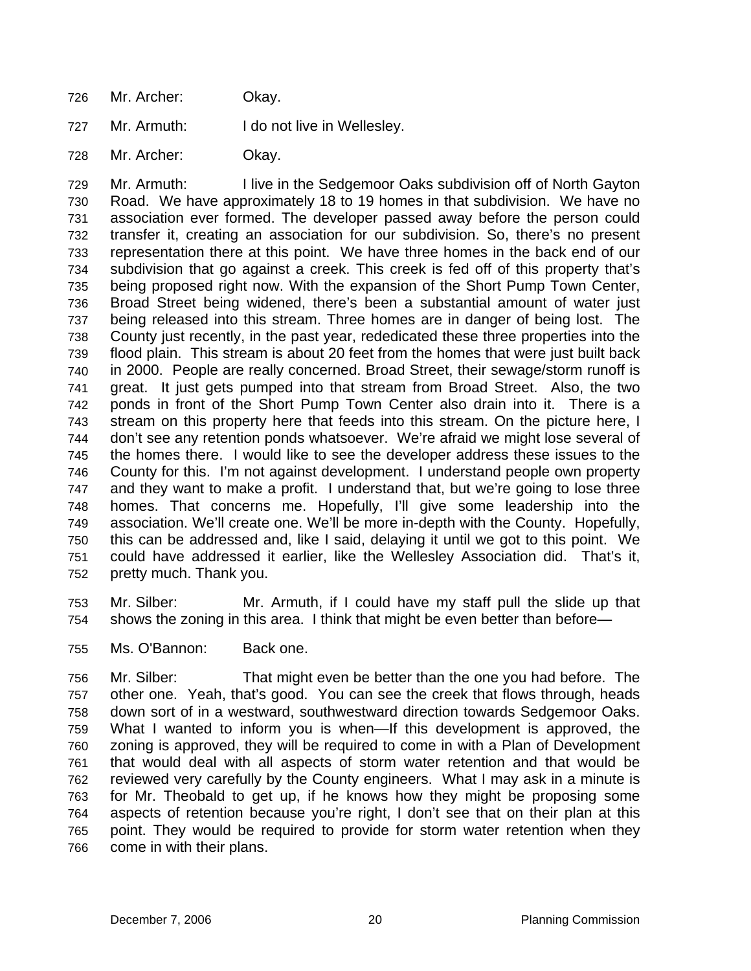726 Mr. Archer: Okay.

727 Mr. Armuth: I do not live in Wellesley.

728 Mr. Archer: Okay.

729 730 731 732 733 734 735 736 737 738 739 740 741 742 743 744 745 746 747 748 749 750 751 752 Mr. Armuth: I live in the Sedgemoor Oaks subdivision off of North Gayton Road. We have approximately 18 to 19 homes in that subdivision. We have no association ever formed. The developer passed away before the person could transfer it, creating an association for our subdivision. So, there's no present representation there at this point. We have three homes in the back end of our subdivision that go against a creek. This creek is fed off of this property that's being proposed right now. With the expansion of the Short Pump Town Center, Broad Street being widened, there's been a substantial amount of water just being released into this stream. Three homes are in danger of being lost. The County just recently, in the past year, rededicated these three properties into the flood plain. This stream is about 20 feet from the homes that were just built back in 2000. People are really concerned. Broad Street, their sewage/storm runoff is great. It just gets pumped into that stream from Broad Street. Also, the two ponds in front of the Short Pump Town Center also drain into it. There is a stream on this property here that feeds into this stream. On the picture here, I don't see any retention ponds whatsoever. We're afraid we might lose several of the homes there. I would like to see the developer address these issues to the County for this. I'm not against development. I understand people own property and they want to make a profit. I understand that, but we're going to lose three homes. That concerns me. Hopefully, I'll give some leadership into the association. We'll create one. We'll be more in-depth with the County. Hopefully, this can be addressed and, like I said, delaying it until we got to this point. We could have addressed it earlier, like the Wellesley Association did. That's it, pretty much. Thank you.

- 753 754 Mr. Silber: Mr. Armuth, if I could have my staff pull the slide up that shows the zoning in this area. I think that might be even better than before—
- 755 Ms. O'Bannon: Back one.

756 757 758 759 760 761 762 763 764 765 766 Mr. Silber: That might even be better than the one you had before. The other one. Yeah, that's good. You can see the creek that flows through, heads down sort of in a westward, southwestward direction towards Sedgemoor Oaks. What I wanted to inform you is when—If this development is approved, the zoning is approved, they will be required to come in with a Plan of Development that would deal with all aspects of storm water retention and that would be reviewed very carefully by the County engineers. What I may ask in a minute is for Mr. Theobald to get up, if he knows how they might be proposing some aspects of retention because you're right, I don't see that on their plan at this point. They would be required to provide for storm water retention when they come in with their plans.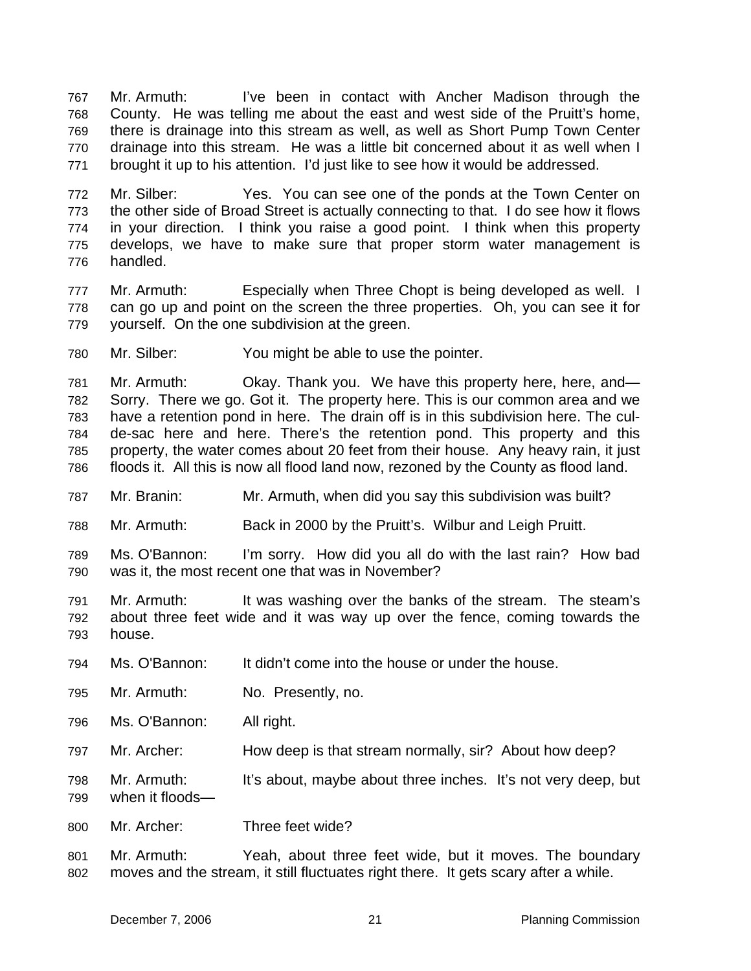Mr. Armuth: I've been in contact with Ancher Madison through the County. He was telling me about the east and west side of the Pruitt's home, there is drainage into this stream as well, as well as Short Pump Town Center drainage into this stream. He was a little bit concerned about it as well when I brought it up to his attention. I'd just like to see how it would be addressed. 767 768 769 770 771

772 773 774 775 776 Mr. Silber: Yes. You can see one of the ponds at the Town Center on the other side of Broad Street is actually connecting to that. I do see how it flows in your direction. I think you raise a good point. I think when this property develops, we have to make sure that proper storm water management is handled.

777 778 779 Mr. Armuth: Especially when Three Chopt is being developed as well. I can go up and point on the screen the three properties. Oh, you can see it for yourself. On the one subdivision at the green.

780 Mr. Silber: You might be able to use the pointer.

781 782 783 784 785 786 Mr. Armuth: Okay. Thank you. We have this property here, here, and— Sorry. There we go. Got it. The property here. This is our common area and we have a retention pond in here. The drain off is in this subdivision here. The culde-sac here and here. There's the retention pond. This property and this property, the water comes about 20 feet from their house. Any heavy rain, it just floods it. All this is now all flood land now, rezoned by the County as flood land.

787 Mr. Branin: Mr. Armuth, when did you say this subdivision was built?

788 Mr. Armuth: Back in 2000 by the Pruitt's. Wilbur and Leigh Pruitt.

789 790 Ms. O'Bannon: I'm sorry. How did you all do with the last rain? How bad was it, the most recent one that was in November?

791 792 793 Mr. Armuth: It was washing over the banks of the stream. The steam's about three feet wide and it was way up over the fence, coming towards the house.

- 794 Ms. O'Bannon: It didn't come into the house or under the house.
- 795 Mr. Armuth: No. Presently, no.
- 796 Ms. O'Bannon: All right.
- 797 Mr. Archer: How deep is that stream normally, sir? About how deep?
- 798 Mr. Armuth: It's about, maybe about three inches. It's not very deep, but
- 799 when it floods—
- 800 Mr. Archer: Three feet wide?
- 801 802 Mr. Armuth: Yeah, about three feet wide, but it moves. The boundary moves and the stream, it still fluctuates right there. It gets scary after a while.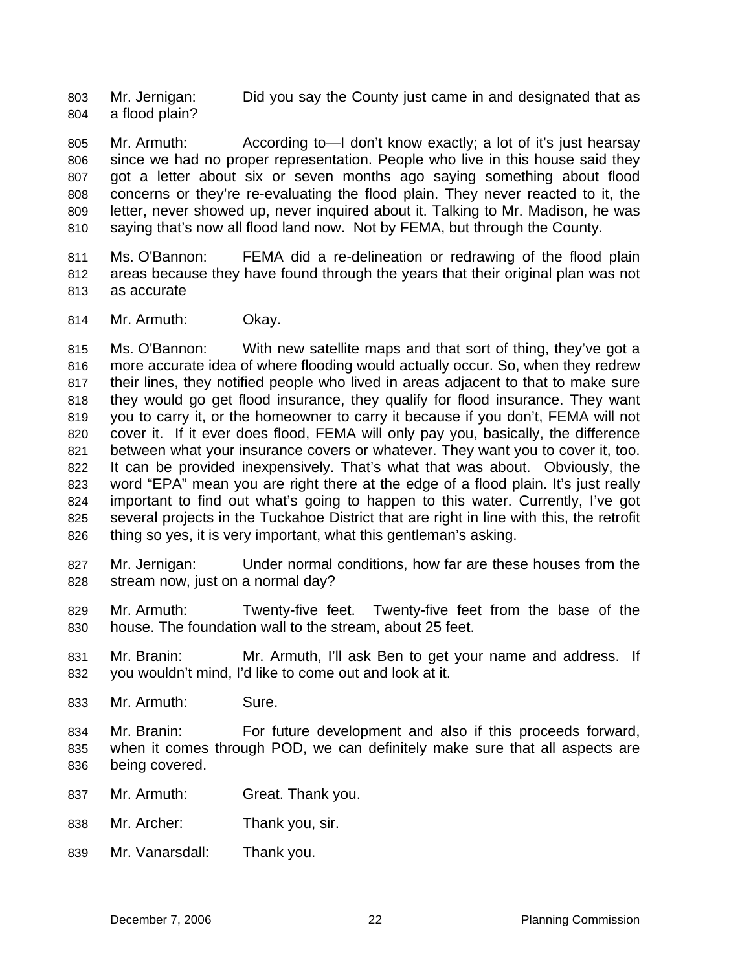Mr. Jernigan: Did you say the County just came in and designated that as a flood plain? 803 804

805 806 807 808 809 810 Mr. Armuth: According to - I don't know exactly; a lot of it's just hearsay since we had no proper representation. People who live in this house said they got a letter about six or seven months ago saying something about flood concerns or they're re-evaluating the flood plain. They never reacted to it, the letter, never showed up, never inquired about it. Talking to Mr. Madison, he was saying that's now all flood land now. Not by FEMA, but through the County.

811 812 813 Ms. O'Bannon: FEMA did a re-delineation or redrawing of the flood plain areas because they have found through the years that their original plan was not as accurate

814 Mr. Armuth: Okay.

815 816 817 818 819 820 821 822 823 824 825 826 Ms. O'Bannon: With new satellite maps and that sort of thing, they've got a more accurate idea of where flooding would actually occur. So, when they redrew their lines, they notified people who lived in areas adjacent to that to make sure they would go get flood insurance, they qualify for flood insurance. They want you to carry it, or the homeowner to carry it because if you don't, FEMA will not cover it. If it ever does flood, FEMA will only pay you, basically, the difference between what your insurance covers or whatever. They want you to cover it, too. It can be provided inexpensively. That's what that was about. Obviously, the word "EPA" mean you are right there at the edge of a flood plain. It's just really important to find out what's going to happen to this water. Currently, I've got several projects in the Tuckahoe District that are right in line with this, the retrofit thing so yes, it is very important, what this gentleman's asking.

- 827 828 Mr. Jernigan: Under normal conditions, how far are these houses from the stream now, just on a normal day?
- 829 830 Mr. Armuth: Twenty-five feet. Twenty-five feet from the base of the house. The foundation wall to the stream, about 25 feet.
- 831 832 Mr. Branin: Mr. Armuth, I'll ask Ben to get your name and address. If you wouldn't mind, I'd like to come out and look at it.
- 833 Mr. Armuth: Sure.
- 834 835 836 Mr. Branin: For future development and also if this proceeds forward, when it comes through POD, we can definitely make sure that all aspects are being covered.
- 837 Mr. Armuth: Great. Thank you.
- 838 Mr. Archer: Thank you, sir.
- 839 Mr. Vanarsdall: Thank you.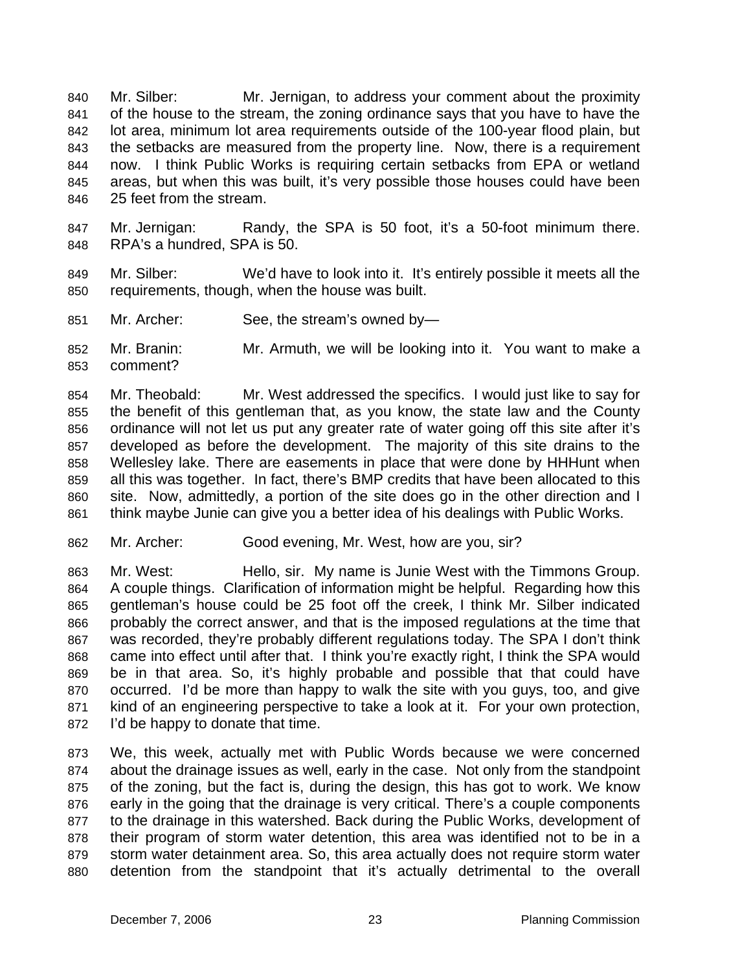Mr. Silber: Mr. Jernigan, to address your comment about the proximity of the house to the stream, the zoning ordinance says that you have to have the lot area, minimum lot area requirements outside of the 100-year flood plain, but the setbacks are measured from the property line. Now, there is a requirement now. I think Public Works is requiring certain setbacks from EPA or wetland areas, but when this was built, it's very possible those houses could have been 25 feet from the stream. 840 841 842 843 844 845 846

847 848 Mr. Jernigan: Randy, the SPA is 50 foot, it's a 50-foot minimum there. RPA's a hundred, SPA is 50.

- 849 850 Mr. Silber: We'd have to look into it. It's entirely possible it meets all the requirements, though, when the house was built.
- 851 Mr. Archer: See, the stream's owned by—

852 853 Mr. Branin: Mr. Armuth, we will be looking into it. You want to make a comment?

854 855 856 857 858 859 860 861 Mr. Theobald: Mr. West addressed the specifics. I would just like to say for the benefit of this gentleman that, as you know, the state law and the County ordinance will not let us put any greater rate of water going off this site after it's developed as before the development. The majority of this site drains to the Wellesley lake. There are easements in place that were done by HHHunt when all this was together. In fact, there's BMP credits that have been allocated to this site. Now, admittedly, a portion of the site does go in the other direction and I think maybe Junie can give you a better idea of his dealings with Public Works.

862 Mr. Archer: Good evening, Mr. West, how are you, sir?

863 864 865 866 867 868 869 870 871 872 Mr. West: Hello, sir. My name is Junie West with the Timmons Group. A couple things. Clarification of information might be helpful. Regarding how this gentleman's house could be 25 foot off the creek, I think Mr. Silber indicated probably the correct answer, and that is the imposed regulations at the time that was recorded, they're probably different regulations today. The SPA I don't think came into effect until after that. I think you're exactly right, I think the SPA would be in that area. So, it's highly probable and possible that that could have occurred. I'd be more than happy to walk the site with you guys, too, and give kind of an engineering perspective to take a look at it. For your own protection, I'd be happy to donate that time.

873 874 875 876 877 878 879 880 We, this week, actually met with Public Words because we were concerned about the drainage issues as well, early in the case. Not only from the standpoint of the zoning, but the fact is, during the design, this has got to work. We know early in the going that the drainage is very critical. There's a couple components to the drainage in this watershed. Back during the Public Works, development of their program of storm water detention, this area was identified not to be in a storm water detainment area. So, this area actually does not require storm water detention from the standpoint that it's actually detrimental to the overall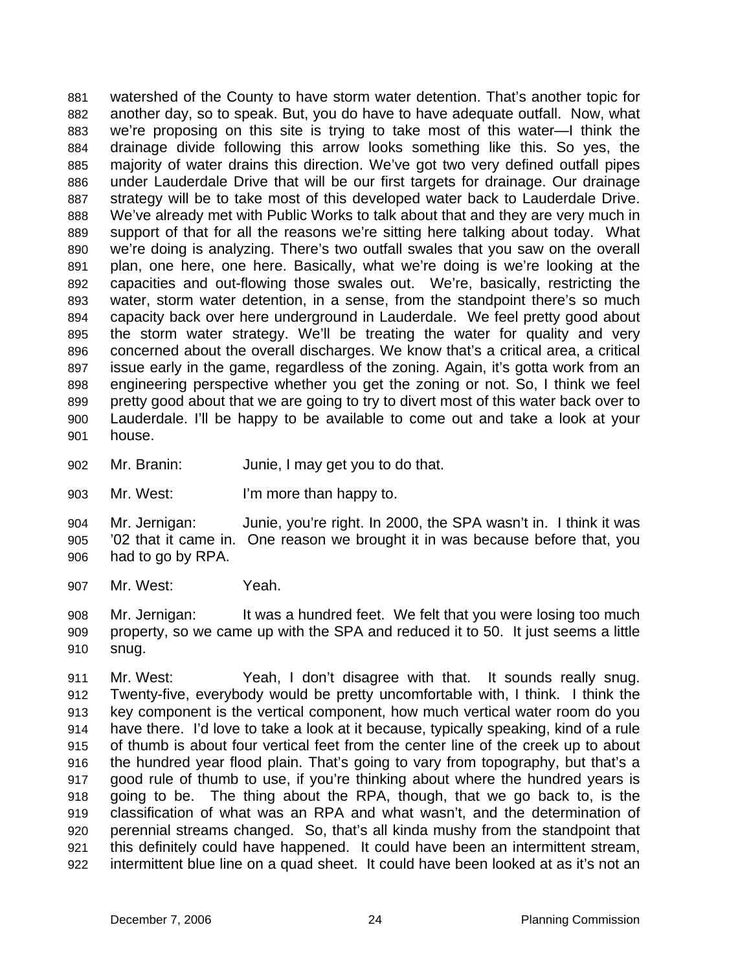watershed of the County to have storm water detention. That's another topic for another day, so to speak. But, you do have to have adequate outfall. Now, what we're proposing on this site is trying to take most of this water—I think the drainage divide following this arrow looks something like this. So yes, the majority of water drains this direction. We've got two very defined outfall pipes under Lauderdale Drive that will be our first targets for drainage. Our drainage strategy will be to take most of this developed water back to Lauderdale Drive. We've already met with Public Works to talk about that and they are very much in support of that for all the reasons we're sitting here talking about today. What we're doing is analyzing. There's two outfall swales that you saw on the overall plan, one here, one here. Basically, what we're doing is we're looking at the capacities and out-flowing those swales out. We're, basically, restricting the water, storm water detention, in a sense, from the standpoint there's so much capacity back over here underground in Lauderdale. We feel pretty good about the storm water strategy. We'll be treating the water for quality and very concerned about the overall discharges. We know that's a critical area, a critical issue early in the game, regardless of the zoning. Again, it's gotta work from an engineering perspective whether you get the zoning or not. So, I think we feel pretty good about that we are going to try to divert most of this water back over to Lauderdale. I'll be happy to be available to come out and take a look at your house. 881 882 883 884 885 886 887 888 889 890 891 892 893 894 895 896 897 898 899 900 901

- 902 Mr. Branin: Junie, I may get you to do that.
- 903 Mr. West: I'm more than happy to.

904 905 906 Mr. Jernigan: Junie, you're right. In 2000, the SPA wasn't in. I think it was '02 that it came in. One reason we brought it in was because before that, you had to go by RPA.

907 Mr. West: Yeah.

908 909 910 Mr. Jernigan: It was a hundred feet. We felt that you were losing too much property, so we came up with the SPA and reduced it to 50. It just seems a little snug.

911 912 913 914 915 916 917 918 919 920 921 922 Mr. West: Yeah, I don't disagree with that. It sounds really snug. Twenty-five, everybody would be pretty uncomfortable with, I think. I think the key component is the vertical component, how much vertical water room do you have there. I'd love to take a look at it because, typically speaking, kind of a rule of thumb is about four vertical feet from the center line of the creek up to about the hundred year flood plain. That's going to vary from topography, but that's a good rule of thumb to use, if you're thinking about where the hundred years is going to be. The thing about the RPA, though, that we go back to, is the classification of what was an RPA and what wasn't, and the determination of perennial streams changed. So, that's all kinda mushy from the standpoint that this definitely could have happened. It could have been an intermittent stream, intermittent blue line on a quad sheet. It could have been looked at as it's not an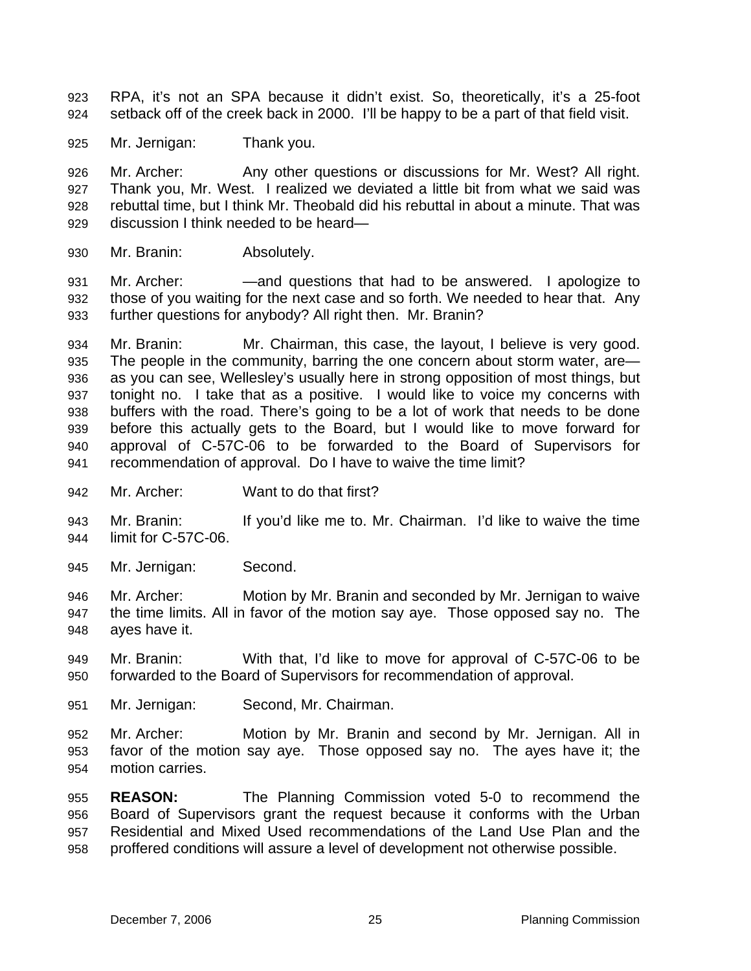- RPA, it's not an SPA because it didn't exist. So, theoretically, it's a 25-foot setback off of the creek back in 2000. I'll be happy to be a part of that field visit. 923 924
- 925 Mr. Jernigan: Thank you.

926 927 928 929 Mr. Archer: Any other questions or discussions for Mr. West? All right. Thank you, Mr. West. I realized we deviated a little bit from what we said was rebuttal time, but I think Mr. Theobald did his rebuttal in about a minute. That was discussion I think needed to be heard—

930 Mr. Branin: Absolutely.

931 932 933 Mr. Archer: ——and questions that had to be answered. I apologize to those of you waiting for the next case and so forth. We needed to hear that. Any further questions for anybody? All right then. Mr. Branin?

934 935 936 937 938 939 940 941 Mr. Branin: Mr. Chairman, this case, the layout, I believe is very good. The people in the community, barring the one concern about storm water, are as you can see, Wellesley's usually here in strong opposition of most things, but tonight no. I take that as a positive. I would like to voice my concerns with buffers with the road. There's going to be a lot of work that needs to be done before this actually gets to the Board, but I would like to move forward for approval of C-57C-06 to be forwarded to the Board of Supervisors for recommendation of approval. Do I have to waive the time limit?

942 Mr. Archer: Want to do that first?

943 944 Mr. Branin: If you'd like me to. Mr. Chairman. I'd like to waive the time limit for C-57C-06.

- 945 Mr. Jernigan: Second.
- 946 947 948 Mr. Archer: Motion by Mr. Branin and seconded by Mr. Jernigan to waive the time limits. All in favor of the motion say aye. Those opposed say no. The ayes have it.
- 949 950 Mr. Branin: With that, I'd like to move for approval of C-57C-06 to be forwarded to the Board of Supervisors for recommendation of approval.
- 951 Mr. Jernigan: Second, Mr. Chairman.
- 952 953 954 Mr. Archer: Motion by Mr. Branin and second by Mr. Jernigan. All in favor of the motion say aye. Those opposed say no. The ayes have it; the motion carries.

955 956 957 958 **REASON:** The Planning Commission voted 5-0 to recommend the Board of Supervisors grant the request because it conforms with the Urban Residential and Mixed Used recommendations of the Land Use Plan and the proffered conditions will assure a level of development not otherwise possible.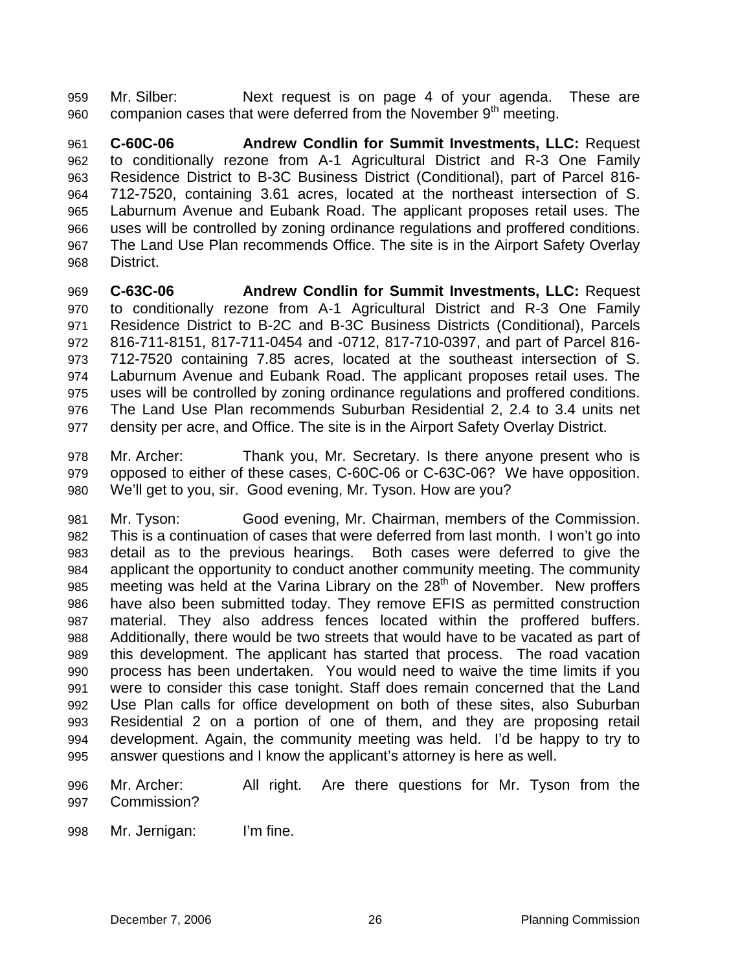Mr. Silber: Next request is on page 4 of your agenda. These are companion cases that were deferred from the November 9<sup>th</sup> meeting. 959 960

961 962 963 964 965 966 967 968 **C-60C-06 Andrew Condlin for Summit Investments, LLC:** Request to conditionally rezone from A-1 Agricultural District and R-3 One Family Residence District to B-3C Business District (Conditional), part of Parcel 816- 712-7520, containing 3.61 acres, located at the northeast intersection of S. Laburnum Avenue and Eubank Road. The applicant proposes retail uses. The uses will be controlled by zoning ordinance regulations and proffered conditions. The Land Use Plan recommends Office. The site is in the Airport Safety Overlay District.

969 970 971 972 973 974 975 976 977 **C-63C-06 Andrew Condlin for Summit Investments, LLC:** Request to conditionally rezone from A-1 Agricultural District and R-3 One Family Residence District to B-2C and B-3C Business Districts (Conditional), Parcels 816-711-8151, 817-711-0454 and -0712, 817-710-0397, and part of Parcel 816- 712-7520 containing 7.85 acres, located at the southeast intersection of S. Laburnum Avenue and Eubank Road. The applicant proposes retail uses. The uses will be controlled by zoning ordinance regulations and proffered conditions. The Land Use Plan recommends Suburban Residential 2, 2.4 to 3.4 units net density per acre, and Office. The site is in the Airport Safety Overlay District.

978 979 980 Mr. Archer: Thank you, Mr. Secretary. Is there anyone present who is opposed to either of these cases, C-60C-06 or C-63C-06? We have opposition. We'll get to you, sir. Good evening, Mr. Tyson. How are you?

981 982 983 984 985 986 987 988 989 990 991 992 993 994 995 Mr. Tyson: Good evening, Mr. Chairman, members of the Commission. This is a continuation of cases that were deferred from last month. I won't go into detail as to the previous hearings. Both cases were deferred to give the applicant the opportunity to conduct another community meeting. The community meeting was held at the Varina Library on the 28<sup>th</sup> of November. New proffers have also been submitted today. They remove EFIS as permitted construction material. They also address fences located within the proffered buffers. Additionally, there would be two streets that would have to be vacated as part of this development. The applicant has started that process. The road vacation process has been undertaken. You would need to waive the time limits if you were to consider this case tonight. Staff does remain concerned that the Land Use Plan calls for office development on both of these sites, also Suburban Residential 2 on a portion of one of them, and they are proposing retail development. Again, the community meeting was held. I'd be happy to try to answer questions and I know the applicant's attorney is here as well.

- 996 997 Mr. Archer: All right. Are there questions for Mr. Tyson from the Commission?
- 998 Mr. Jernigan: I'm fine.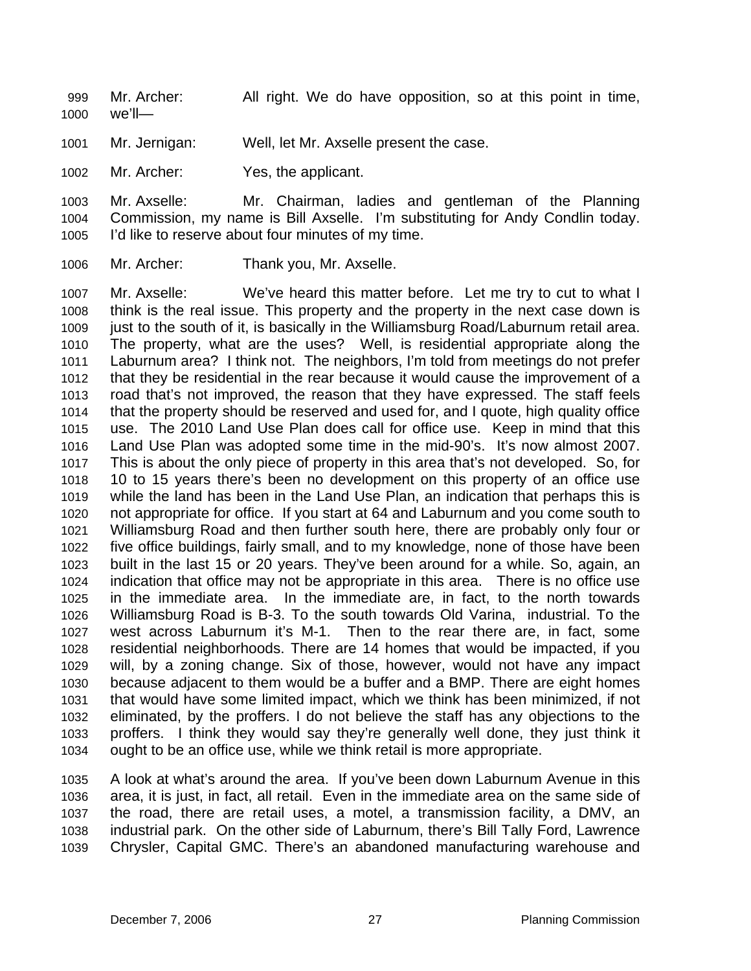Mr. Archer: All right. We do have opposition, so at this point in time, we'll— 999 1000

1001 Mr. Jernigan: Well, let Mr. Axselle present the case.

1002 Mr. Archer: Yes, the applicant.

1003 1004 1005 Mr. Axselle: Mr. Chairman, ladies and gentleman of the Planning Commission, my name is Bill Axselle. I'm substituting for Andy Condlin today. I'd like to reserve about four minutes of my time.

1006 Mr. Archer: Thank you, Mr. Axselle.

1007 1008 1009 1010 1011 1012 1013 1014 1015 1016 1017 1018 1019 1020 1021 1022 1023 1024 1025 1026 1027 1028 1029 1030 1031 1032 1033 1034 Mr. Axselle: We've heard this matter before. Let me try to cut to what I think is the real issue. This property and the property in the next case down is just to the south of it, is basically in the Williamsburg Road/Laburnum retail area. The property, what are the uses? Well, is residential appropriate along the Laburnum area? I think not. The neighbors, I'm told from meetings do not prefer that they be residential in the rear because it would cause the improvement of a road that's not improved, the reason that they have expressed. The staff feels that the property should be reserved and used for, and I quote, high quality office use. The 2010 Land Use Plan does call for office use. Keep in mind that this Land Use Plan was adopted some time in the mid-90's. It's now almost 2007. This is about the only piece of property in this area that's not developed. So, for 10 to 15 years there's been no development on this property of an office use while the land has been in the Land Use Plan, an indication that perhaps this is not appropriate for office. If you start at 64 and Laburnum and you come south to Williamsburg Road and then further south here, there are probably only four or five office buildings, fairly small, and to my knowledge, none of those have been built in the last 15 or 20 years. They've been around for a while. So, again, an indication that office may not be appropriate in this area. There is no office use in the immediate area. In the immediate are, in fact, to the north towards Williamsburg Road is B-3. To the south towards Old Varina, industrial. To the west across Laburnum it's M-1. Then to the rear there are, in fact, some residential neighborhoods. There are 14 homes that would be impacted, if you will, by a zoning change. Six of those, however, would not have any impact because adjacent to them would be a buffer and a BMP. There are eight homes that would have some limited impact, which we think has been minimized, if not eliminated, by the proffers. I do not believe the staff has any objections to the proffers. I think they would say they're generally well done, they just think it ought to be an office use, while we think retail is more appropriate.

1035 1036 1037 1038 1039 A look at what's around the area. If you've been down Laburnum Avenue in this area, it is just, in fact, all retail. Even in the immediate area on the same side of the road, there are retail uses, a motel, a transmission facility, a DMV, an industrial park. On the other side of Laburnum, there's Bill Tally Ford, Lawrence Chrysler, Capital GMC. There's an abandoned manufacturing warehouse and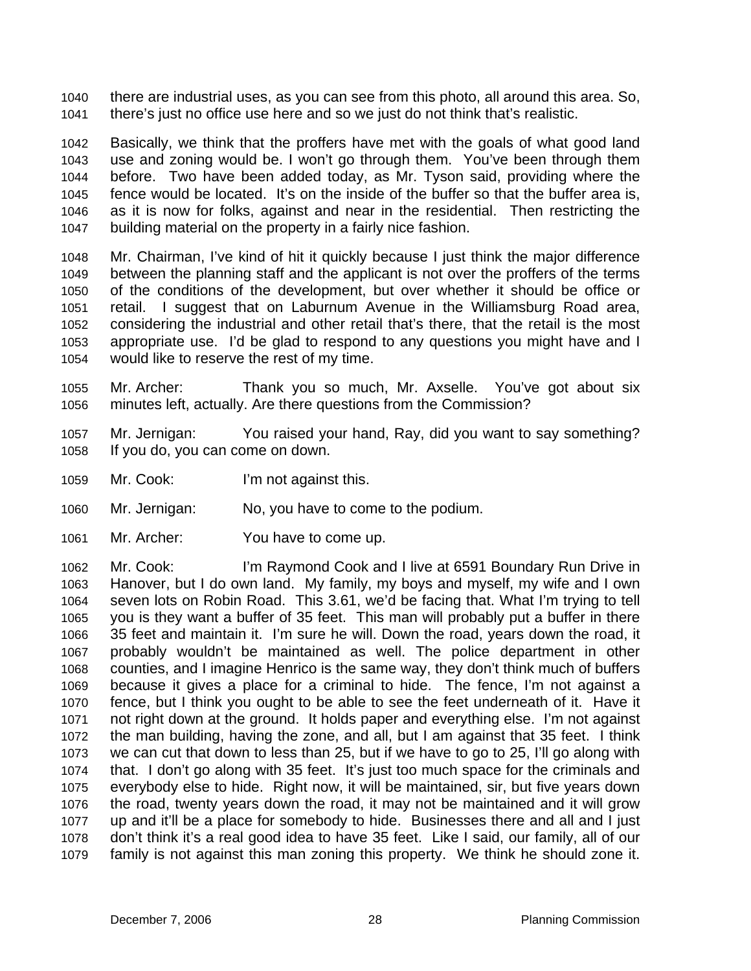there are industrial uses, as you can see from this photo, all around this area. So, there's just no office use here and so we just do not think that's realistic. 1040 1041

1042 1043 1044 1045 1046 1047 Basically, we think that the proffers have met with the goals of what good land use and zoning would be. I won't go through them. You've been through them before. Two have been added today, as Mr. Tyson said, providing where the fence would be located. It's on the inside of the buffer so that the buffer area is, as it is now for folks, against and near in the residential. Then restricting the building material on the property in a fairly nice fashion.

1048 1049 1050 1051 1052 1053 1054 Mr. Chairman, I've kind of hit it quickly because I just think the major difference between the planning staff and the applicant is not over the proffers of the terms of the conditions of the development, but over whether it should be office or retail. I suggest that on Laburnum Avenue in the Williamsburg Road area, considering the industrial and other retail that's there, that the retail is the most appropriate use. I'd be glad to respond to any questions you might have and I would like to reserve the rest of my time.

1055 1056 Mr. Archer: Thank you so much, Mr. Axselle. You've got about six minutes left, actually. Are there questions from the Commission?

- 1057 1058 Mr. Jernigan: You raised your hand, Ray, did you want to say something? If you do, you can come on down.
- 1059 Mr. Cook: I'm not against this.
- 1060 Mr. Jernigan: No, you have to come to the podium.
- 1061 Mr. Archer: You have to come up.

1062 1063 1064 1065 1066 1067 1068 1069 1070 1071 1072 1073 1074 1075 1076 1077 1078 1079 Mr. Cook: I'm Raymond Cook and I live at 6591 Boundary Run Drive in Hanover, but I do own land. My family, my boys and myself, my wife and I own seven lots on Robin Road. This 3.61, we'd be facing that. What I'm trying to tell you is they want a buffer of 35 feet. This man will probably put a buffer in there 35 feet and maintain it. I'm sure he will. Down the road, years down the road, it probably wouldn't be maintained as well. The police department in other counties, and I imagine Henrico is the same way, they don't think much of buffers because it gives a place for a criminal to hide. The fence, I'm not against a fence, but I think you ought to be able to see the feet underneath of it. Have it not right down at the ground. It holds paper and everything else. I'm not against the man building, having the zone, and all, but I am against that 35 feet. I think we can cut that down to less than 25, but if we have to go to 25, I'll go along with that. I don't go along with 35 feet. It's just too much space for the criminals and everybody else to hide. Right now, it will be maintained, sir, but five years down the road, twenty years down the road, it may not be maintained and it will grow up and it'll be a place for somebody to hide. Businesses there and all and I just don't think it's a real good idea to have 35 feet. Like I said, our family, all of our family is not against this man zoning this property. We think he should zone it.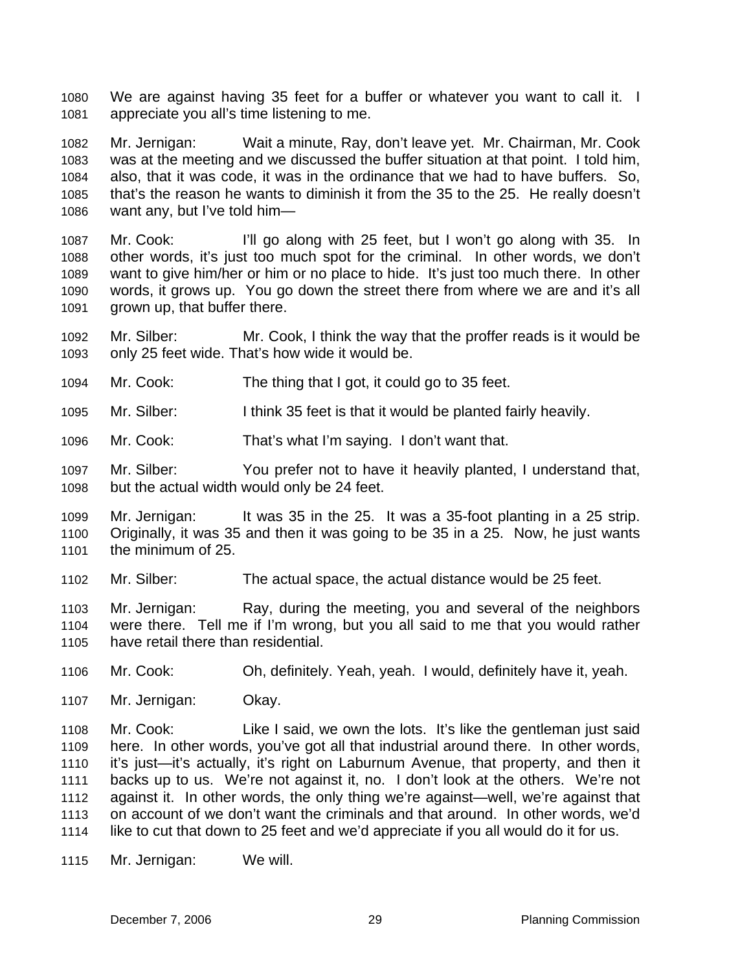We are against having 35 feet for a buffer or whatever you want to call it. I appreciate you all's time listening to me. 1080 1081

1082 1083 1084 1085 1086 Mr. Jernigan: Wait a minute, Ray, don't leave yet. Mr. Chairman, Mr. Cook was at the meeting and we discussed the buffer situation at that point. I told him, also, that it was code, it was in the ordinance that we had to have buffers. So, that's the reason he wants to diminish it from the 35 to the 25. He really doesn't want any, but I've told him—

1087 1088 1089 1090 1091 Mr. Cook: I'll go along with 25 feet, but I won't go along with 35. In other words, it's just too much spot for the criminal. In other words, we don't want to give him/her or him or no place to hide. It's just too much there. In other words, it grows up. You go down the street there from where we are and it's all grown up, that buffer there.

1092 1093 Mr. Silber: Mr. Cook, I think the way that the proffer reads is it would be only 25 feet wide. That's how wide it would be.

- 1094 Mr. Cook: The thing that I got, it could go to 35 feet.
- 1095 Mr. Silber: I think 35 feet is that it would be planted fairly heavily.
- 1096 Mr. Cook: That's what I'm saying. I don't want that.
- 1097 1098 Mr. Silber: You prefer not to have it heavily planted, I understand that, but the actual width would only be 24 feet.

1099 1100 1101 Mr. Jernigan: It was 35 in the 25. It was a 35-foot planting in a 25 strip. Originally, it was 35 and then it was going to be 35 in a 25. Now, he just wants the minimum of 25.

1102 Mr. Silber: The actual space, the actual distance would be 25 feet.

1103 1104 1105 Mr. Jernigan: Ray, during the meeting, you and several of the neighbors were there. Tell me if I'm wrong, but you all said to me that you would rather have retail there than residential.

- 1106 Mr. Cook: Oh, definitely. Yeah, yeah. I would, definitely have it, yeah.
- 1107 Mr. Jernigan: Okay.

1108 1109 1110 1111 1112 1113 1114 Mr. Cook: Like I said, we own the lots. It's like the gentleman just said here. In other words, you've got all that industrial around there. In other words, it's just—it's actually, it's right on Laburnum Avenue, that property, and then it backs up to us. We're not against it, no. I don't look at the others. We're not against it. In other words, the only thing we're against—well, we're against that on account of we don't want the criminals and that around. In other words, we'd like to cut that down to 25 feet and we'd appreciate if you all would do it for us.

1115 Mr. Jernigan: We will.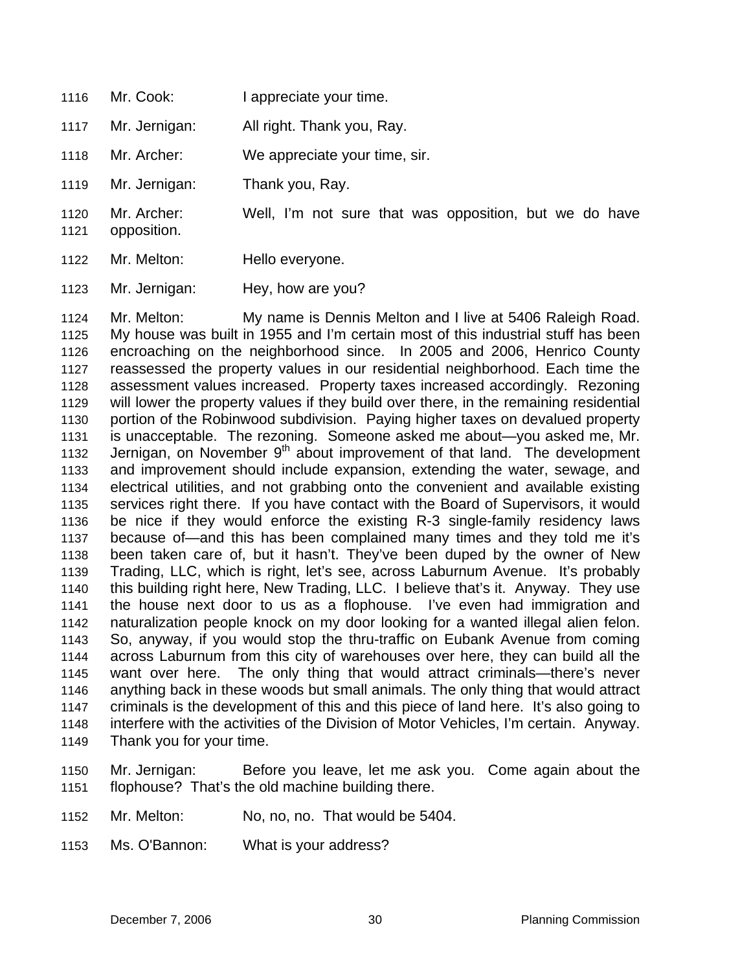- 1116 Mr. Cook: I appreciate your time.
- 1117 Mr. Jernigan: All right. Thank you, Ray.
- 1118 Mr. Archer: We appreciate your time, sir.
- 1119 Mr. Jernigan: Thank you, Ray.
- 1120 Mr. Archer: Well, I'm not sure that was opposition, but we do have
- 1122 Mr. Melton: Hello everyone.

opposition.

1121

1123 Mr. Jernigan: Hey, how are you?

1124 1125 1126 1127 1128 1129 1130 1131 1132 1133 1134 1135 1136 1137 1138 1139 1140 1141 1142 1143 1144 1145 1146 1147 1148 1149 Mr. Melton: My name is Dennis Melton and I live at 5406 Raleigh Road. My house was built in 1955 and I'm certain most of this industrial stuff has been encroaching on the neighborhood since. In 2005 and 2006, Henrico County reassessed the property values in our residential neighborhood. Each time the assessment values increased. Property taxes increased accordingly. Rezoning will lower the property values if they build over there, in the remaining residential portion of the Robinwood subdivision. Paying higher taxes on devalued property is unacceptable. The rezoning. Someone asked me about—you asked me, Mr. Jernigan, on November  $9<sup>th</sup>$  about improvement of that land. The development and improvement should include expansion, extending the water, sewage, and electrical utilities, and not grabbing onto the convenient and available existing services right there. If you have contact with the Board of Supervisors, it would be nice if they would enforce the existing R-3 single-family residency laws because of—and this has been complained many times and they told me it's been taken care of, but it hasn't. They've been duped by the owner of New Trading, LLC, which is right, let's see, across Laburnum Avenue. It's probably this building right here, New Trading, LLC. I believe that's it. Anyway. They use the house next door to us as a flophouse. I've even had immigration and naturalization people knock on my door looking for a wanted illegal alien felon. So, anyway, if you would stop the thru-traffic on Eubank Avenue from coming across Laburnum from this city of warehouses over here, they can build all the want over here. The only thing that would attract criminals—there's never anything back in these woods but small animals. The only thing that would attract criminals is the development of this and this piece of land here. It's also going to interfere with the activities of the Division of Motor Vehicles, I'm certain. Anyway. Thank you for your time.

1150 1151 Mr. Jernigan: Before you leave, let me ask you. Come again about the flophouse? That's the old machine building there.

- 1152 Mr. Melton: No, no, no. That would be 5404.
- 1153 Ms. O'Bannon: What is your address?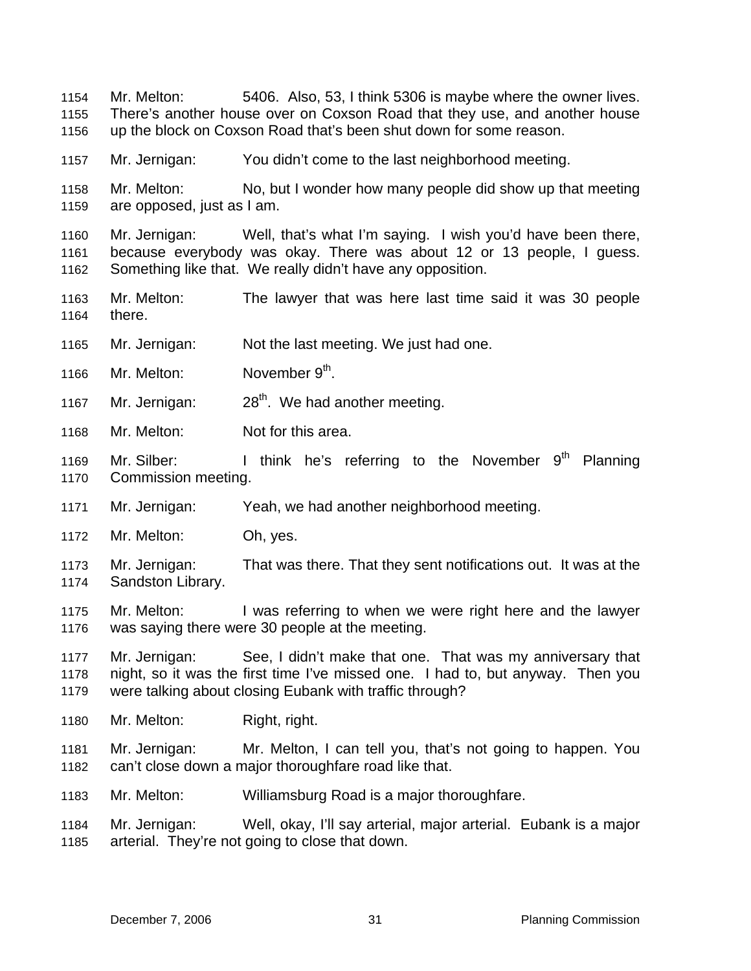Mr. Melton: 5406. Also, 53, I think 5306 is maybe where the owner lives. There's another house over on Coxson Road that they use, and another house up the block on Coxson Road that's been shut down for some reason. 1154 1155 1156

1157 Mr. Jernigan: You didn't come to the last neighborhood meeting.

1158 1159 Mr. Melton: No, but I wonder how many people did show up that meeting are opposed, just as I am.

1160 1161 1162 Mr. Jernigan: Well, that's what I'm saying. I wish you'd have been there, because everybody was okay. There was about 12 or 13 people, I guess. Something like that. We really didn't have any opposition.

- 1163 1164 Mr. Melton: The lawyer that was here last time said it was 30 people there.
- 1165 Mr. Jernigan: Not the last meeting. We just had one.
- 1166 Mr. Melton: November 9<sup>th</sup>.
- 1167 Mr. Jernigan:  $28<sup>th</sup>$ . We had another meeting.
- 1168 Mr. Melton: Not for this area.
- 1169 1170 Mr. Silber: I think he's referring to the November  $9<sup>th</sup>$  Planning Commission meeting.
- 1171 Mr. Jernigan: Yeah, we had another neighborhood meeting.
- 1172 Mr. Melton: Oh, yes.
- 1173 1174 Mr. Jernigan: That was there. That they sent notifications out. It was at the Sandston Library.
- 1175 1176 Mr. Melton: I was referring to when we were right here and the lawyer was saying there were 30 people at the meeting.

1177 1178 1179 Mr. Jernigan: See, I didn't make that one. That was my anniversary that night, so it was the first time I've missed one. I had to, but anyway. Then you were talking about closing Eubank with traffic through?

- 1180 Mr. Melton: Right, right.
- 1181 1182 Mr. Jernigan: Mr. Melton, I can tell you, that's not going to happen. You can't close down a major thoroughfare road like that.
- 1183 Mr. Melton: Williamsburg Road is a major thoroughfare.
- 1184 1185 Mr. Jernigan: Well, okay, I'll say arterial, major arterial. Eubank is a major arterial. They're not going to close that down.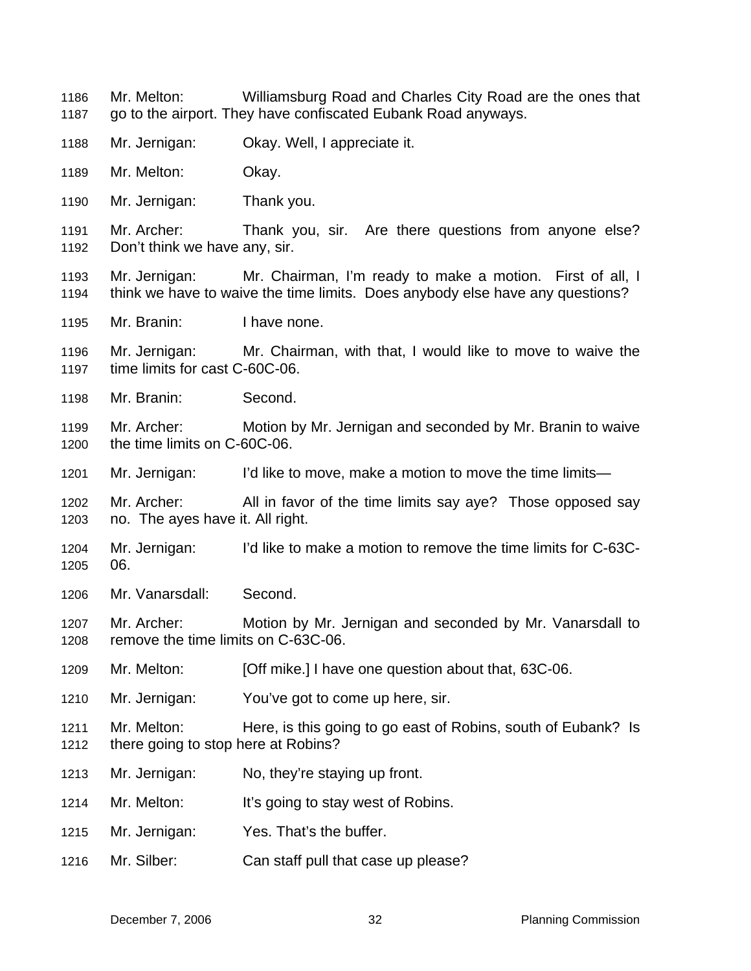Mr. Melton: Williamsburg Road and Charles City Road are the ones that go to the airport. They have confiscated Eubank Road anyways. 1186 1187

- 1188 Mr. Jernigan: Okay. Well, I appreciate it.
- 1189 Mr. Melton: Okay.
- 1190 Mr. Jernigan: Thank you.

1191 1192 Mr. Archer: Thank you, sir. Are there questions from anyone else? Don't think we have any, sir.

- 1193 1194 Mr. Jernigan: Mr. Chairman, I'm ready to make a motion. First of all, I think we have to waive the time limits. Does anybody else have any questions?
- 1195 Mr. Branin: I have none.
- 1196 1197 Mr. Jernigan: Mr. Chairman, with that, I would like to move to waive the time limits for cast C-60C-06.
- 1198 Mr. Branin: Second.
- 1199 1200 Mr. Archer: Motion by Mr. Jernigan and seconded by Mr. Branin to waive the time limits on C-60C-06.
- 1201 Mr. Jernigan: I'd like to move, make a motion to move the time limits—
- 1202 1203 Mr. Archer: All in favor of the time limits say aye? Those opposed say no. The ayes have it. All right.
- 1204 1205 Mr. Jernigan: I'd like to make a motion to remove the time limits for C-63C-06.
- 1206 Mr. Vanarsdall: Second.
- 1207 1208 Mr. Archer: Motion by Mr. Jernigan and seconded by Mr. Vanarsdall to remove the time limits on C-63C-06.
- 1209 Mr. Melton: [Off mike.] I have one question about that, 63C-06.
- 1210 Mr. Jernigan: You've got to come up here, sir.
- 1211 1212 Mr. Melton: Here, is this going to go east of Robins, south of Eubank? Is there going to stop here at Robins?
- 1213 Mr. Jernigan: No, they're staying up front.
- 1214 Mr. Melton: It's going to stay west of Robins.
- 1215 Mr. Jernigan: Yes. That's the buffer.
- 1216 Mr. Silber: Can staff pull that case up please?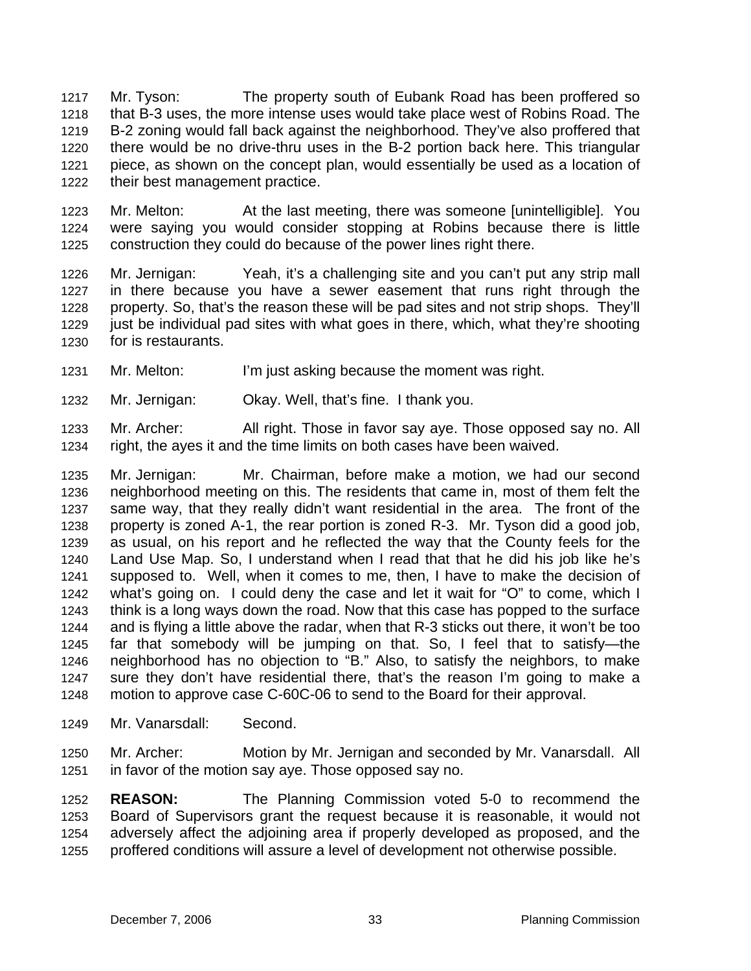Mr. Tyson: The property south of Eubank Road has been proffered so that B-3 uses, the more intense uses would take place west of Robins Road. The B-2 zoning would fall back against the neighborhood. They've also proffered that there would be no drive-thru uses in the B-2 portion back here. This triangular piece, as shown on the concept plan, would essentially be used as a location of their best management practice. 1217 1218 1219 1220 1221 1222

1223 1224 1225 Mr. Melton: At the last meeting, there was someone [unintelligible]. You were saying you would consider stopping at Robins because there is little construction they could do because of the power lines right there.

1226 1227 1228 1229 1230 Mr. Jernigan: Yeah, it's a challenging site and you can't put any strip mall in there because you have a sewer easement that runs right through the property. So, that's the reason these will be pad sites and not strip shops. They'll just be individual pad sites with what goes in there, which, what they're shooting for is restaurants.

- 1231 Mr. Melton: I'm just asking because the moment was right.
- 1232 Mr. Jernigan: Okay. Well, that's fine. I thank you.

1233 1234 Mr. Archer: All right. Those in favor say aye. Those opposed say no. All right, the ayes it and the time limits on both cases have been waived.

1235 1236 1237 1238 1239 1240 1241 1242 1243 1244 1245 1246 1247 1248 Mr. Jernigan: Mr. Chairman, before make a motion, we had our second neighborhood meeting on this. The residents that came in, most of them felt the same way, that they really didn't want residential in the area. The front of the property is zoned A-1, the rear portion is zoned R-3. Mr. Tyson did a good job, as usual, on his report and he reflected the way that the County feels for the Land Use Map. So, I understand when I read that that he did his job like he's supposed to. Well, when it comes to me, then, I have to make the decision of what's going on. I could deny the case and let it wait for "O" to come, which I think is a long ways down the road. Now that this case has popped to the surface and is flying a little above the radar, when that R-3 sticks out there, it won't be too far that somebody will be jumping on that. So, I feel that to satisfy—the neighborhood has no objection to "B." Also, to satisfy the neighbors, to make sure they don't have residential there, that's the reason I'm going to make a motion to approve case C-60C-06 to send to the Board for their approval.

- 1249 Mr. Vanarsdall: Second.
- 1250 1251 Mr. Archer: Motion by Mr. Jernigan and seconded by Mr. Vanarsdall. All in favor of the motion say aye. Those opposed say no.

1252 1253 1254 1255 **REASON:** The Planning Commission voted 5-0 to recommend the Board of Supervisors grant the request because it is reasonable, it would not adversely affect the adjoining area if properly developed as proposed, and the proffered conditions will assure a level of development not otherwise possible.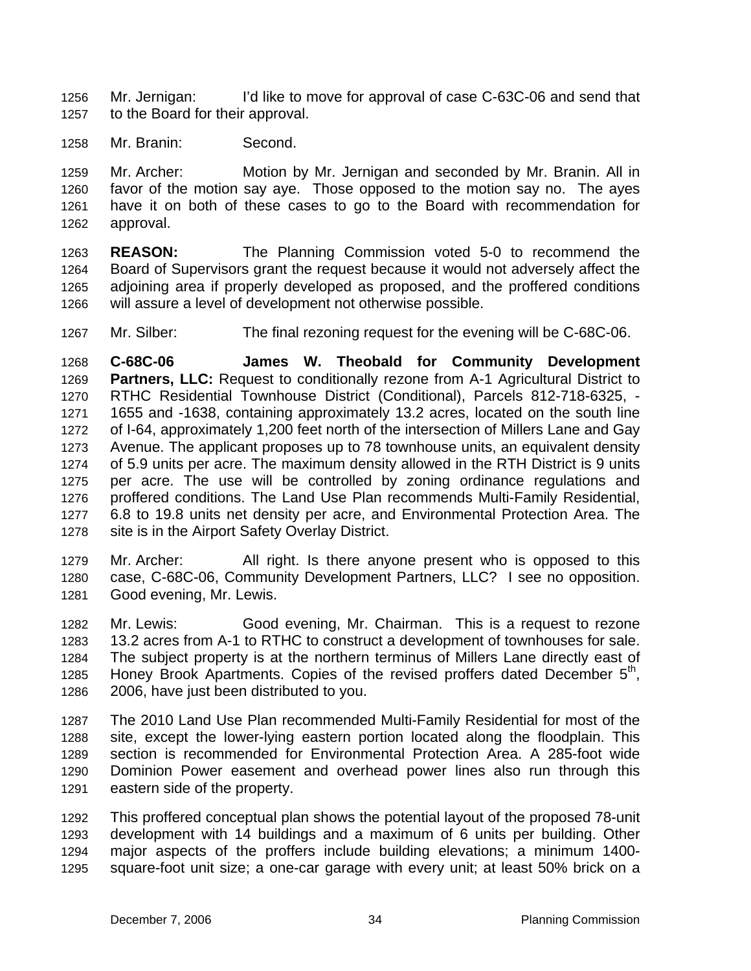Mr. Jernigan: I'd like to move for approval of case C-63C-06 and send that to the Board for their approval. 1256 1257

1258 Mr. Branin: Second.

1259 1260 1261 1262 Mr. Archer: Motion by Mr. Jernigan and seconded by Mr. Branin. All in favor of the motion say aye. Those opposed to the motion say no. The ayes have it on both of these cases to go to the Board with recommendation for approval.

1263 1264 1265 1266 **REASON:** The Planning Commission voted 5-0 to recommend the Board of Supervisors grant the request because it would not adversely affect the adjoining area if properly developed as proposed, and the proffered conditions will assure a level of development not otherwise possible.

1267 Mr. Silber: The final rezoning request for the evening will be C-68C-06.

1268 1269 1270 1271 1272 1273 1274 1275 1276 1277 1278 **C-68C-06 James W. Theobald for Community Development Partners, LLC:** Request to conditionally rezone from A-1 Agricultural District to RTHC Residential Townhouse District (Conditional), Parcels 812-718-6325, - 1655 and -1638, containing approximately 13.2 acres, located on the south line of I-64, approximately 1,200 feet north of the intersection of Millers Lane and Gay Avenue. The applicant proposes up to 78 townhouse units, an equivalent density of 5.9 units per acre. The maximum density allowed in the RTH District is 9 units per acre. The use will be controlled by zoning ordinance regulations and proffered conditions. The Land Use Plan recommends Multi-Family Residential, 6.8 to 19.8 units net density per acre, and Environmental Protection Area. The site is in the Airport Safety Overlay District.

1279 1280 1281 Mr. Archer: All right. Is there anyone present who is opposed to this case, C-68C-06, Community Development Partners, LLC? I see no opposition. Good evening, Mr. Lewis.

1282 1283 1284 1285 1286 Mr. Lewis: Good evening, Mr. Chairman. This is a request to rezone 13.2 acres from A-1 to RTHC to construct a development of townhouses for sale. The subject property is at the northern terminus of Millers Lane directly east of Honey Brook Apartments. Copies of the revised proffers dated December 5<sup>th</sup>, 2006, have just been distributed to you.

1287 1288 1289 1290 1291 The 2010 Land Use Plan recommended Multi-Family Residential for most of the site, except the lower-lying eastern portion located along the floodplain. This section is recommended for Environmental Protection Area. A 285-foot wide Dominion Power easement and overhead power lines also run through this eastern side of the property.

1292 1293 1294 1295 This proffered conceptual plan shows the potential layout of the proposed 78-unit development with 14 buildings and a maximum of 6 units per building. Other major aspects of the proffers include building elevations; a minimum 1400 square-foot unit size; a one-car garage with every unit; at least 50% brick on a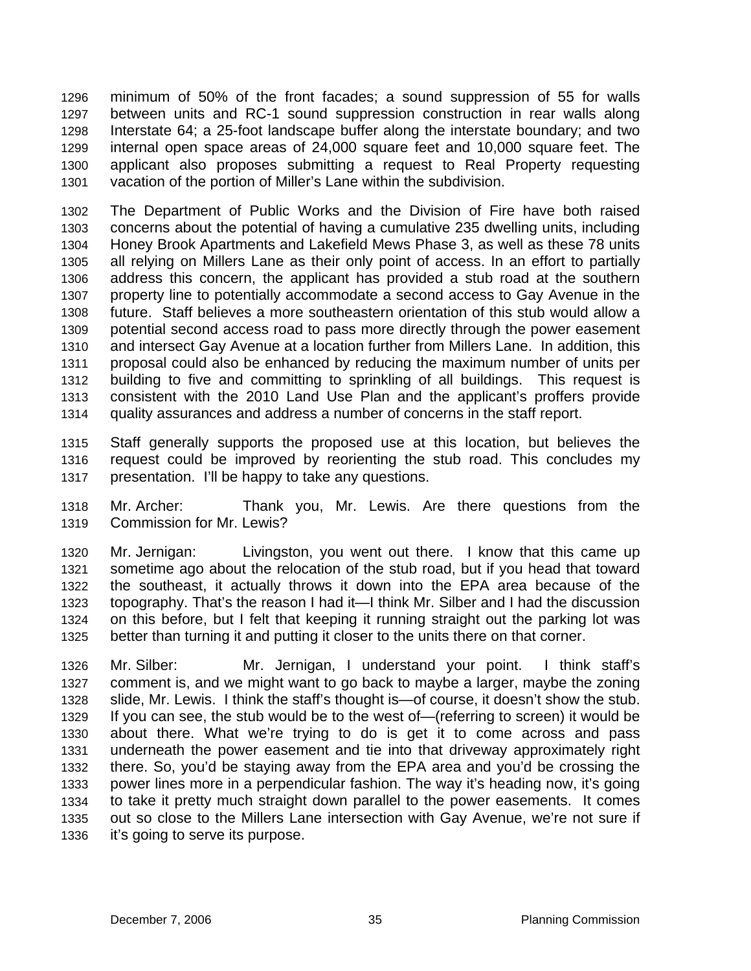minimum of 50% of the front facades; a sound suppression of 55 for walls between units and RC-1 sound suppression construction in rear walls along Interstate 64; a 25-foot landscape buffer along the interstate boundary; and two internal open space areas of 24,000 square feet and 10,000 square feet. The applicant also proposes submitting a request to Real Property requesting vacation of the portion of Miller's Lane within the subdivision. 1296 1297 1298 1299 1300 1301

1302 1303 1304 1305 1306 1307 1308 1309 1310 1311 1312 1313 1314 The Department of Public Works and the Division of Fire have both raised concerns about the potential of having a cumulative 235 dwelling units, including Honey Brook Apartments and Lakefield Mews Phase 3, as well as these 78 units all relying on Millers Lane as their only point of access. In an effort to partially address this concern, the applicant has provided a stub road at the southern property line to potentially accommodate a second access to Gay Avenue in the future. Staff believes a more southeastern orientation of this stub would allow a potential second access road to pass more directly through the power easement and intersect Gay Avenue at a location further from Millers Lane. In addition, this proposal could also be enhanced by reducing the maximum number of units per building to five and committing to sprinkling of all buildings. This request is consistent with the 2010 Land Use Plan and the applicant's proffers provide quality assurances and address a number of concerns in the staff report.

1315 1316 1317 Staff generally supports the proposed use at this location, but believes the request could be improved by reorienting the stub road. This concludes my presentation. I'll be happy to take any questions.

1318 1319 Mr. Archer: Thank you, Mr. Lewis. Are there questions from the Commission for Mr. Lewis?

1320 1321 1322 1323 1324 1325 Mr. Jernigan: Livingston, you went out there. I know that this came up sometime ago about the relocation of the stub road, but if you head that toward the southeast, it actually throws it down into the EPA area because of the topography. That's the reason I had it—I think Mr. Silber and I had the discussion on this before, but I felt that keeping it running straight out the parking lot was better than turning it and putting it closer to the units there on that corner.

1326 1327 1328 1329 1330 1331 1332 1333 1334 1335 1336 Mr. Silber: Mr. Jernigan, I understand your point. I think staff's comment is, and we might want to go back to maybe a larger, maybe the zoning slide, Mr. Lewis. I think the staff's thought is—of course, it doesn't show the stub. If you can see, the stub would be to the west of—(referring to screen) it would be about there. What we're trying to do is get it to come across and pass underneath the power easement and tie into that driveway approximately right there. So, you'd be staying away from the EPA area and you'd be crossing the power lines more in a perpendicular fashion. The way it's heading now, it's going to take it pretty much straight down parallel to the power easements. It comes out so close to the Millers Lane intersection with Gay Avenue, we're not sure if it's going to serve its purpose.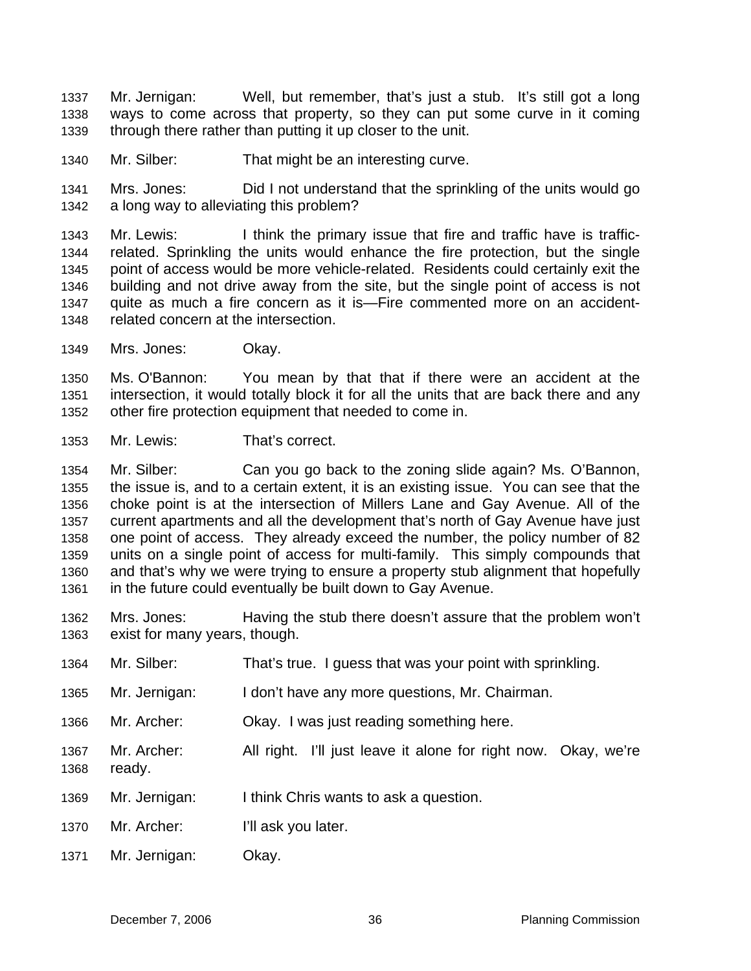Mr. Jernigan: Well, but remember, that's just a stub. It's still got a long ways to come across that property, so they can put some curve in it coming through there rather than putting it up closer to the unit. 1337 1338 1339

1340 Mr. Silber: That might be an interesting curve.

1341 1342 Mrs. Jones: Did I not understand that the sprinkling of the units would go a long way to alleviating this problem?

1343 1344 1345 1346 1347 1348 Mr. Lewis: I think the primary issue that fire and traffic have is trafficrelated. Sprinkling the units would enhance the fire protection, but the single point of access would be more vehicle-related. Residents could certainly exit the building and not drive away from the site, but the single point of access is not quite as much a fire concern as it is—Fire commented more on an accidentrelated concern at the intersection.

1349 Mrs. Jones: Okay.

1350 1351 1352 Ms. O'Bannon: You mean by that that if there were an accident at the intersection, it would totally block it for all the units that are back there and any other fire protection equipment that needed to come in.

1353 Mr. Lewis: That's correct.

1354 1355 1356 1357 1358 1359 1360 1361 Mr. Silber: Can you go back to the zoning slide again? Ms. O'Bannon, the issue is, and to a certain extent, it is an existing issue. You can see that the choke point is at the intersection of Millers Lane and Gay Avenue. All of the current apartments and all the development that's north of Gay Avenue have just one point of access. They already exceed the number, the policy number of 82 units on a single point of access for multi-family. This simply compounds that and that's why we were trying to ensure a property stub alignment that hopefully in the future could eventually be built down to Gay Avenue.

1362 1363 Mrs. Jones: Having the stub there doesn't assure that the problem won't exist for many years, though.

1364 1365 1366 1367 1368 1369 1370 1371 Mr. Silber: That's true. I guess that was your point with sprinkling. Mr. Jernigan: I don't have any more questions, Mr. Chairman. Mr. Archer: Okay. I was just reading something here. Mr. Archer: All right. I'll just leave it alone for right now. Okay, we're ready. Mr. Jernigan: I think Chris wants to ask a question. Mr. Archer: I'll ask you later. Mr. Jernigan: Okay.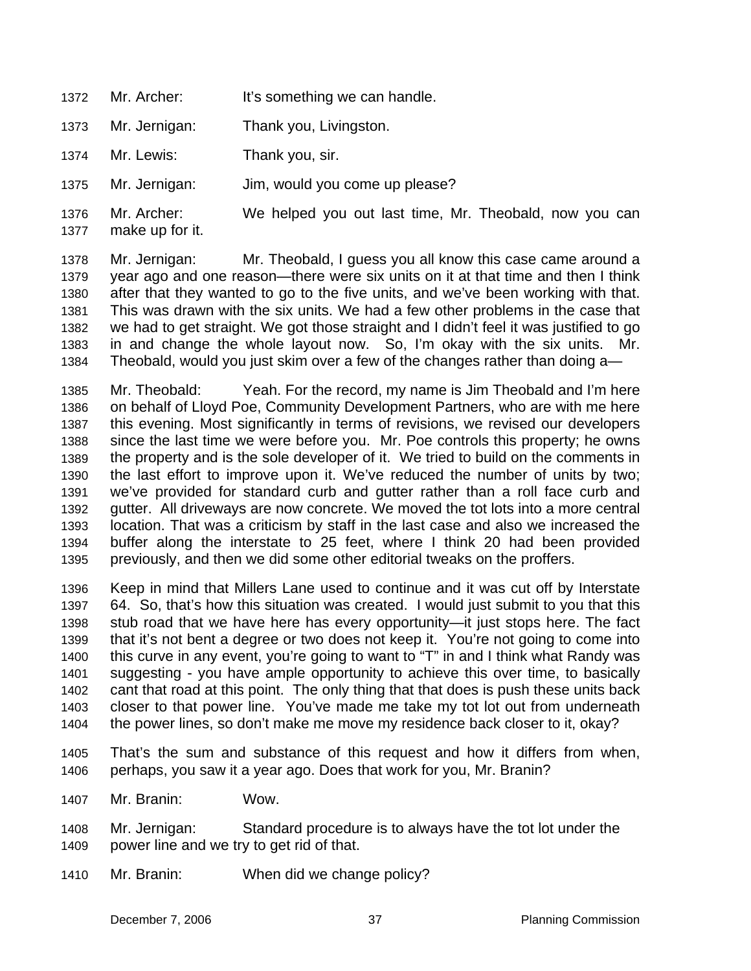- 1372 Mr. Archer: It's something we can handle.
- 1373 Mr. Jernigan: Thank you, Livingston.
- 1374 Mr. Lewis: Thank you, sir.
- 1375 Mr. Jernigan: Jim, would you come up please?
- 1376 1377 Mr. Archer: We helped you out last time, Mr. Theobald, now you can make up for it.

1378 1379 1380 1381 1382 1383 1384 Mr. Jernigan: Mr. Theobald, I guess you all know this case came around a year ago and one reason—there were six units on it at that time and then I think after that they wanted to go to the five units, and we've been working with that. This was drawn with the six units. We had a few other problems in the case that we had to get straight. We got those straight and I didn't feel it was justified to go in and change the whole layout now. So, I'm okay with the six units. Mr. Theobald, would you just skim over a few of the changes rather than doing a—

1385 1386 1387 1388 1389 1390 1391 1392 1393 1394 1395 Mr. Theobald: Yeah. For the record, my name is Jim Theobald and I'm here on behalf of Lloyd Poe, Community Development Partners, who are with me here this evening. Most significantly in terms of revisions, we revised our developers since the last time we were before you. Mr. Poe controls this property; he owns the property and is the sole developer of it. We tried to build on the comments in the last effort to improve upon it. We've reduced the number of units by two; we've provided for standard curb and gutter rather than a roll face curb and gutter. All driveways are now concrete. We moved the tot lots into a more central location. That was a criticism by staff in the last case and also we increased the buffer along the interstate to 25 feet, where I think 20 had been provided previously, and then we did some other editorial tweaks on the proffers.

1396 1397 1398 1399 1400 1401 1402 1403 1404 Keep in mind that Millers Lane used to continue and it was cut off by Interstate 64. So, that's how this situation was created. I would just submit to you that this stub road that we have here has every opportunity—it just stops here. The fact that it's not bent a degree or two does not keep it. You're not going to come into this curve in any event, you're going to want to "T" in and I think what Randy was suggesting - you have ample opportunity to achieve this over time, to basically cant that road at this point. The only thing that that does is push these units back closer to that power line. You've made me take my tot lot out from underneath the power lines, so don't make me move my residence back closer to it, okay?

- 1405 1406 That's the sum and substance of this request and how it differs from when, perhaps, you saw it a year ago. Does that work for you, Mr. Branin?
- 1407 Mr. Branin: Wow.
- 1408 1409 Mr. Jernigan: Standard procedure is to always have the tot lot under the power line and we try to get rid of that.
- 1410 Mr. Branin: When did we change policy?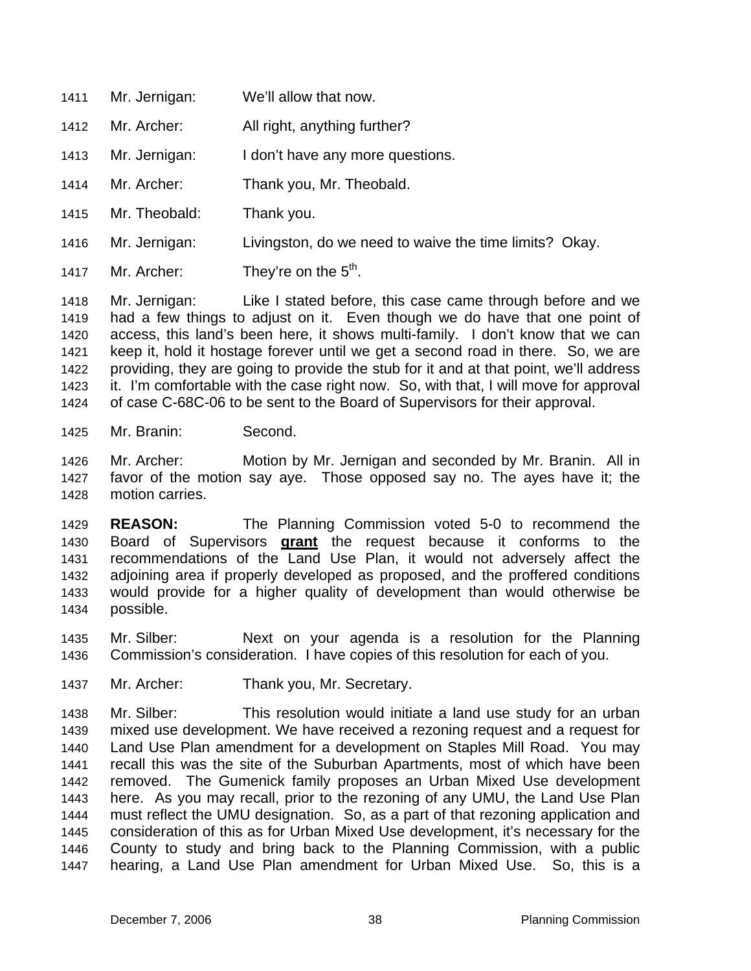1411 Mr. Jernigan: We'll allow that now. 1412 1413 1414 1415 1416 1417 Mr. Archer: All right, anything further? Mr. Jernigan: I don't have any more questions. Mr. Archer: Thank you, Mr. Theobald. Mr. Theobald: Thank you. Mr. Jernigan: Livingston, do we need to waive the time limits? Okay. Mr. Archer: They're on the  $5<sup>th</sup>$ .

1418 1419 1420 1421 1422 1423 1424 Mr. Jernigan: Like I stated before, this case came through before and we had a few things to adjust on it. Even though we do have that one point of access, this land's been here, it shows multi-family. I don't know that we can keep it, hold it hostage forever until we get a second road in there. So, we are providing, they are going to provide the stub for it and at that point, we'll address it. I'm comfortable with the case right now. So, with that, I will move for approval of case C-68C-06 to be sent to the Board of Supervisors for their approval.

- 1425 Mr. Branin: Second.
- 1426 1427 1428 Mr. Archer: Motion by Mr. Jernigan and seconded by Mr. Branin. All in favor of the motion say aye. Those opposed say no. The ayes have it; the motion carries.

1429 **REASON:** The Planning Commission voted 5-0 to recommend the Board of Supervisors **grant** the request because it conforms to the recommendations of the Land Use Plan, it would not adversely affect the adjoining area if properly developed as proposed, and the proffered conditions would provide for a higher quality of development than would otherwise be possible. 1430 1431 1432 1433 1434

1435 1436 Mr. Silber: Next on your agenda is a resolution for the Planning Commission's consideration. I have copies of this resolution for each of you.

1437 Mr. Archer: Thank you, Mr. Secretary.

1438 1439 1440 1441 1442 1443 1444 1445 1446 1447 Mr. Silber: This resolution would initiate a land use study for an urban mixed use development. We have received a rezoning request and a request for Land Use Plan amendment for a development on Staples Mill Road. You may recall this was the site of the Suburban Apartments, most of which have been removed. The Gumenick family proposes an Urban Mixed Use development here. As you may recall, prior to the rezoning of any UMU, the Land Use Plan must reflect the UMU designation. So, as a part of that rezoning application and consideration of this as for Urban Mixed Use development, it's necessary for the County to study and bring back to the Planning Commission, with a public hearing, a Land Use Plan amendment for Urban Mixed Use. So, this is a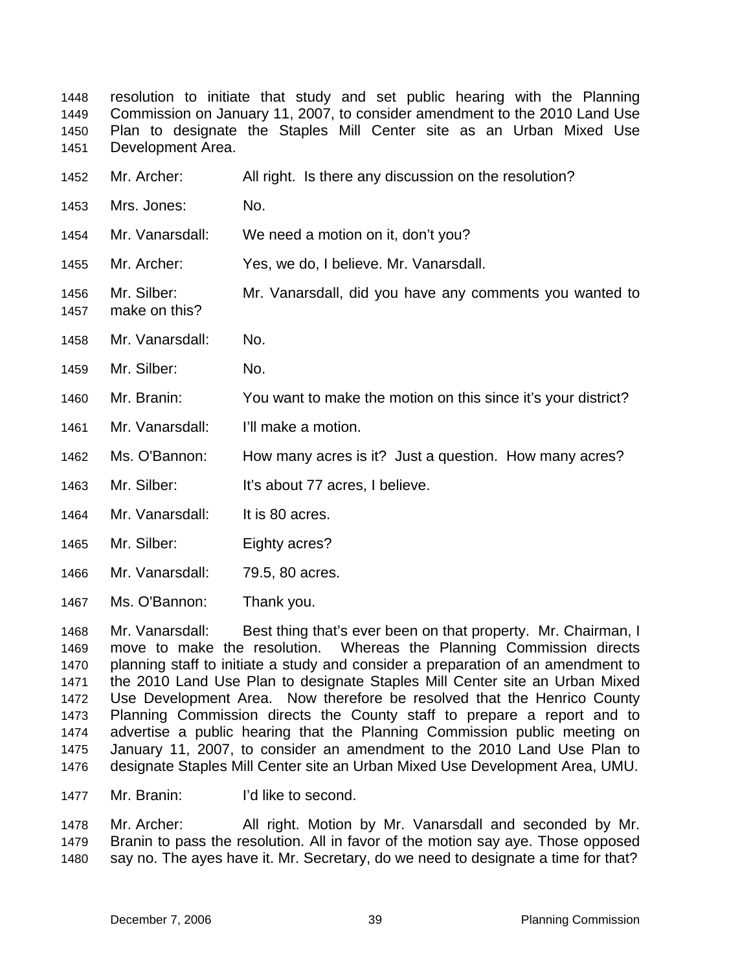resolution to initiate that study and set public hearing with the Planning Commission on January 11, 2007, to consider amendment to the 2010 Land Use Plan to designate the Staples Mill Center site as an Urban Mixed Use Development Area. 1448 1449 1450 1451

| 1452         | Mr. Archer:                  | All right. Is there any discussion on the resolution?         |
|--------------|------------------------------|---------------------------------------------------------------|
| 1453         | Mrs. Jones:                  | No.                                                           |
| 1454         | Mr. Vanarsdall:              | We need a motion on it, don't you?                            |
| 1455         | Mr. Archer:                  | Yes, we do, I believe. Mr. Vanarsdall.                        |
| 1456<br>1457 | Mr. Silber:<br>make on this? | Mr. Vanarsdall, did you have any comments you wanted to       |
| 1458         | Mr. Vanarsdall:              | No.                                                           |
| 1459         | Mr. Silber:                  | No.                                                           |
| 1460         | Mr. Branin:                  | You want to make the motion on this since it's your district? |
| 1461         | Mr. Vanarsdall:              | I'll make a motion.                                           |
| 1462         | Ms. O'Bannon:                | How many acres is it? Just a question. How many acres?        |
| 1463         | Mr. Silber:                  | It's about 77 acres, I believe.                               |
| 1464         | Mr. Vanarsdall:              | It is 80 acres.                                               |
| 1465         | Mr. Silber:                  | Eighty acres?                                                 |
| 1466         | Mr. Vanarsdall:              | 79.5, 80 acres.                                               |
| 1467         | Ms. O'Bannon:                | Thank you.                                                    |

1468 1469 1470 1471 1472 1473 1474 1475 1476 Mr. Vanarsdall: Best thing that's ever been on that property. Mr. Chairman, I move to make the resolution. Whereas the Planning Commission directs planning staff to initiate a study and consider a preparation of an amendment to the 2010 Land Use Plan to designate Staples Mill Center site an Urban Mixed Use Development Area. Now therefore be resolved that the Henrico County Planning Commission directs the County staff to prepare a report and to advertise a public hearing that the Planning Commission public meeting on January 11, 2007, to consider an amendment to the 2010 Land Use Plan to designate Staples Mill Center site an Urban Mixed Use Development Area, UMU.

1477 Mr. Branin: I'd like to second.

1478 1479 1480 Mr. Archer: All right. Motion by Mr. Vanarsdall and seconded by Mr. Branin to pass the resolution. All in favor of the motion say aye. Those opposed say no. The ayes have it. Mr. Secretary, do we need to designate a time for that?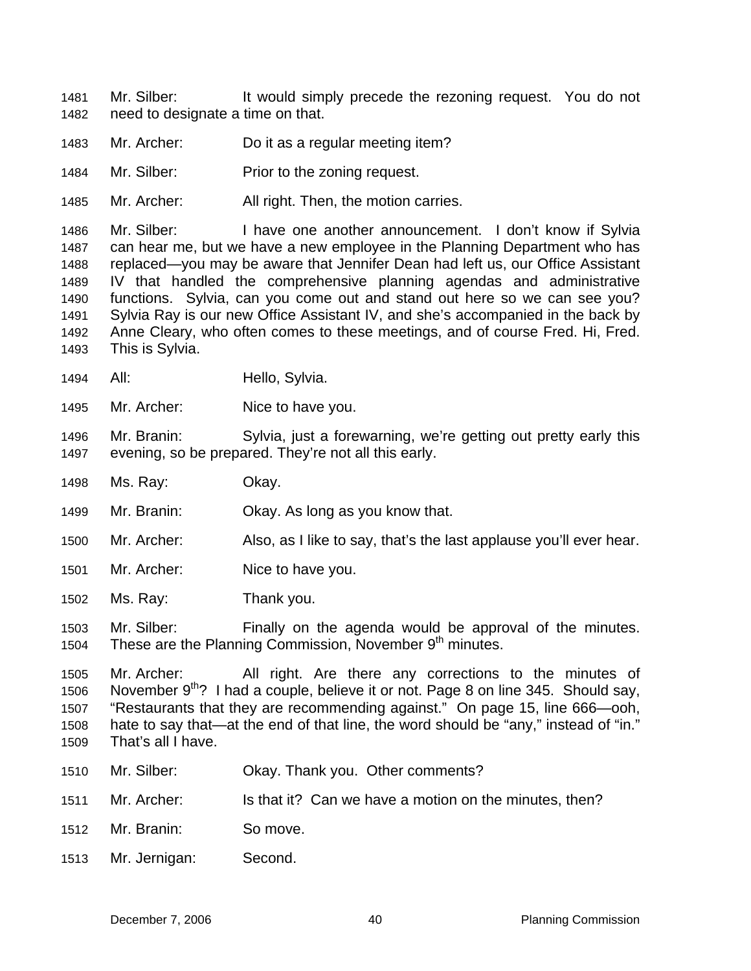Mr. Silber: It would simply precede the rezoning request. You do not need to designate a time on that. 1481 1482

- 1483 Mr. Archer: Do it as a regular meeting item?
- 1484 Mr. Silber: Prior to the zoning request.
- 1485 Mr. Archer: All right. Then, the motion carries.

1486 1487 1488 1489 1490 1491 1492 1493 Mr. Silber: I have one another announcement. I don't know if Sylvia can hear me, but we have a new employee in the Planning Department who has replaced—you may be aware that Jennifer Dean had left us, our Office Assistant IV that handled the comprehensive planning agendas and administrative functions. Sylvia, can you come out and stand out here so we can see you? Sylvia Ray is our new Office Assistant IV, and she's accompanied in the back by Anne Cleary, who often comes to these meetings, and of course Fred. Hi, Fred. This is Sylvia.

- 1494 All: Hello, Sylvia.
- 1495 Mr. Archer: Nice to have you.

1496 1497 Mr. Branin: Sylvia, just a forewarning, we're getting out pretty early this evening, so be prepared. They're not all this early.

- 1498 Ms. Ray: Okay.
- 1499 Mr. Branin: Okay. As long as you know that.
- 1500 Mr. Archer: Also, as I like to say, that's the last applause you'll ever hear.
- 1501 Mr. Archer: Nice to have you.
- 1502 Ms. Ray: Thank you.

1503 1504 Mr. Silber: Finally on the agenda would be approval of the minutes. These are the Planning Commission, November 9<sup>th</sup> minutes.

1505 1506 1507 1508 1509 Mr. Archer: All right. Are there any corrections to the minutes of November  $9^{th}$ ? I had a couple, believe it or not. Page 8 on line 345. Should say, "Restaurants that they are recommending against." On page 15, line 666—ooh, hate to say that—at the end of that line, the word should be "any," instead of "in." That's all I have.

- 1510 Mr. Silber: **Okay. Thank you. Other comments?**
- 1511 Mr. Archer: Is that it? Can we have a motion on the minutes, then?
- 1512 Mr. Branin: So move.
- 1513 Mr. Jernigan: Second.